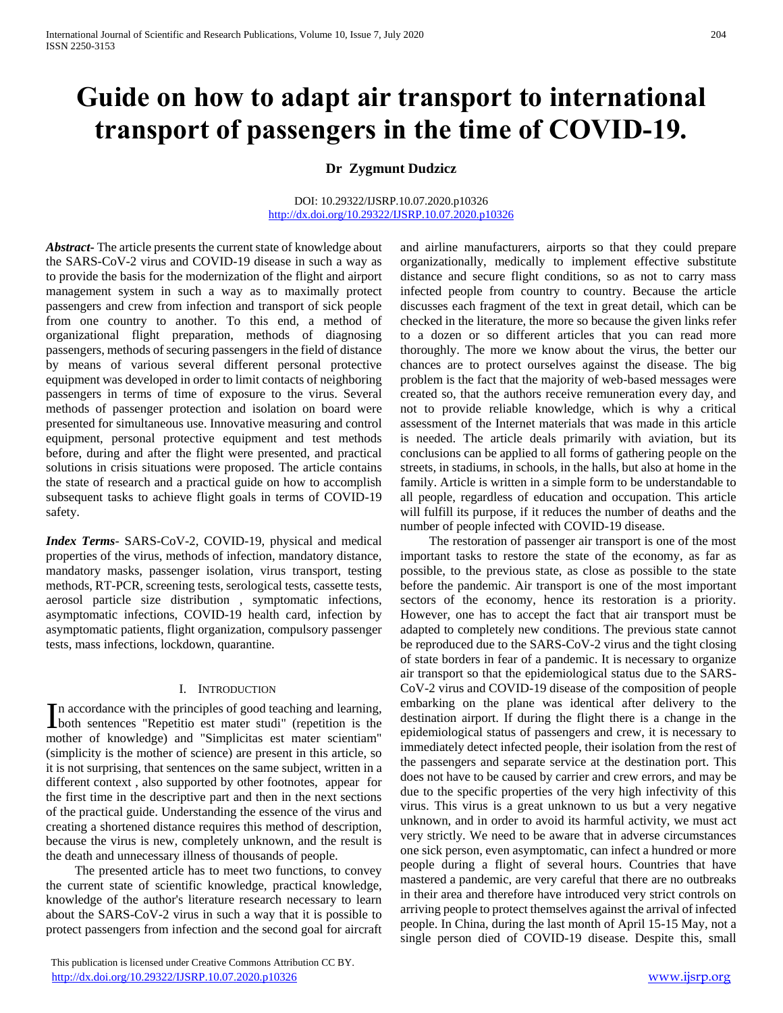# **Guide on how to adapt air transport to international transport of passengers in the time of COVID-19.**

# **Dr Zygmunt Dudzicz**

#### DOI: 10.29322/IJSRP.10.07.2020.p10326 <http://dx.doi.org/10.29322/IJSRP.10.07.2020.p10326>

*Abstract***-** The article presents the current state of knowledge about the SARS-CoV-2 virus and COVID-19 disease in such a way as to provide the basis for the modernization of the flight and airport management system in such a way as to maximally protect passengers and crew from infection and transport of sick people from one country to another. To this end, a method of organizational flight preparation, methods of diagnosing passengers, methods of securing passengers in the field of distance by means of various several different personal protective equipment was developed in order to limit contacts of neighboring passengers in terms of time of exposure to the virus. Several methods of passenger protection and isolation on board were presented for simultaneous use. Innovative measuring and control equipment, personal protective equipment and test methods before, during and after the flight were presented, and practical solutions in crisis situations were proposed. The article contains the state of research and a practical guide on how to accomplish subsequent tasks to achieve flight goals in terms of COVID-19 safety.

*Index Terms*- SARS-CoV-2, COVID-19, physical and medical properties of the virus, methods of infection, mandatory distance, mandatory masks, passenger isolation, virus transport, testing methods, RT-PCR, screening tests, serological tests, cassette tests, aerosol particle size distribution , symptomatic infections, asymptomatic infections, COVID-19 health card, infection by asymptomatic patients, flight organization, compulsory passenger tests, mass infections, lockdown, quarantine.

#### I. INTRODUCTION

n accordance with the principles of good teaching and learning, In accordance with the principles of good teaching and learning,<br>both sentences "Repetition est mater studi" (repetition is the mother of knowledge) and "Simplicitas est mater scientiam" (simplicity is the mother of science) are present in this article, so it is not surprising, that sentences on the same subject, written in a different context , also supported by other footnotes, appear for the first time in the descriptive part and then in the next sections of the practical guide. Understanding the essence of the virus and creating a shortened distance requires this method of description, because the virus is new, completely unknown, and the result is the death and unnecessary illness of thousands of people.

 The presented article has to meet two functions, to convey the current state of scientific knowledge, practical knowledge, knowledge of the author's literature research necessary to learn about the SARS-CoV-2 virus in such a way that it is possible to protect passengers from infection and the second goal for aircraft

 This publication is licensed under Creative Commons Attribution CC BY. <http://dx.doi.org/10.29322/IJSRP.10.07.2020.p10326> [www.ijsrp.org](http://ijsrp.org/)

and airline manufacturers, airports so that they could prepare organizationally, medically to implement effective substitute distance and secure flight conditions, so as not to carry mass infected people from country to country. Because the article discusses each fragment of the text in great detail, which can be checked in the literature, the more so because the given links refer to a dozen or so different articles that you can read more thoroughly. The more we know about the virus, the better our chances are to protect ourselves against the disease. The big problem is the fact that the majority of web-based messages were created so, that the authors receive remuneration every day, and not to provide reliable knowledge, which is why a critical assessment of the Internet materials that was made in this article is needed. The article deals primarily with aviation, but its conclusions can be applied to all forms of gathering people on the streets, in stadiums, in schools, in the halls, but also at home in the family. Article is written in a simple form to be understandable to all people, regardless of education and occupation. This article will fulfill its purpose, if it reduces the number of deaths and the number of people infected with COVID-19 disease.

 The restoration of passenger air transport is one of the most important tasks to restore the state of the economy, as far as possible, to the previous state, as close as possible to the state before the pandemic. Air transport is one of the most important sectors of the economy, hence its restoration is a priority. However, one has to accept the fact that air transport must be adapted to completely new conditions. The previous state cannot be reproduced due to the SARS-CoV-2 virus and the tight closing of state borders in fear of a pandemic. It is necessary to organize air transport so that the epidemiological status due to the SARS-CoV-2 virus and COVID-19 disease of the composition of people embarking on the plane was identical after delivery to the destination airport. If during the flight there is a change in the epidemiological status of passengers and crew, it is necessary to immediately detect infected people, their isolation from the rest of the passengers and separate service at the destination port. This does not have to be caused by carrier and crew errors, and may be due to the specific properties of the very high infectivity of this virus. This virus is a great unknown to us but a very negative unknown, and in order to avoid its harmful activity, we must act very strictly. We need to be aware that in adverse circumstances one sick person, even asymptomatic, can infect a hundred or more people during a flight of several hours. Countries that have mastered a pandemic, are very careful that there are no outbreaks in their area and therefore have introduced very strict controls on arriving people to protect themselves against the arrival of infected people. In China, during the last month of April 15-15 May, not a single person died of COVID-19 disease. Despite this, small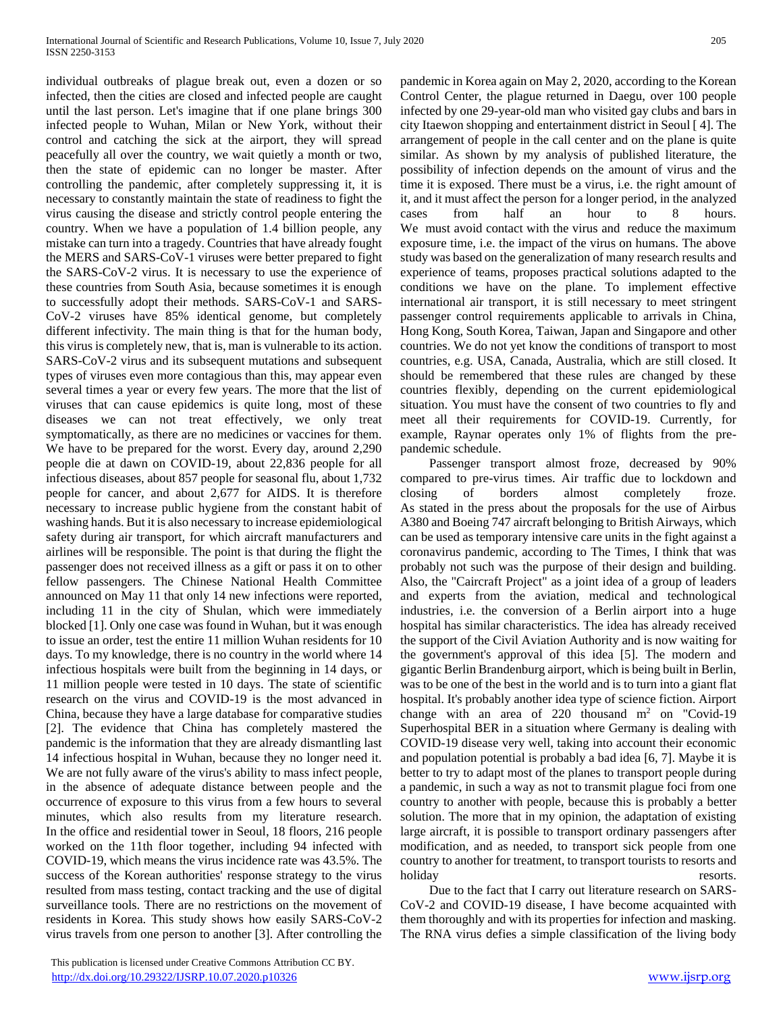individual outbreaks of plague break out, even a dozen or so infected, then the cities are closed and infected people are caught until the last person. Let's imagine that if one plane brings 300 infected people to Wuhan, Milan or New York, without their control and catching the sick at the airport, they will spread peacefully all over the country, we wait quietly a month or two, then the state of epidemic can no longer be master. After controlling the pandemic, after completely suppressing it, it is necessary to constantly maintain the state of readiness to fight the virus causing the disease and strictly control people entering the country. When we have a population of 1.4 billion people, any mistake can turn into a tragedy. Countries that have already fought the MERS and SARS-CoV-1 viruses were better prepared to fight the SARS-CoV-2 virus. It is necessary to use the experience of these countries from South Asia, because sometimes it is enough to successfully adopt their methods. SARS-CoV-1 and SARS-CoV-2 viruses have 85% identical genome, but completely different infectivity. The main thing is that for the human body, this virus is completely new, that is, man is vulnerable to its action. SARS-CoV-2 virus and its subsequent mutations and subsequent types of viruses even more contagious than this, may appear even several times a year or every few years. The more that the list of viruses that can cause epidemics is quite long, most of these diseases we can not treat effectively, we only treat symptomatically, as there are no medicines or vaccines for them. We have to be prepared for the worst. Every day, around 2,290 people die at dawn on COVID-19, about 22,836 people for all infectious diseases, about 857 people for seasonal flu, about 1,732 people for cancer, and about 2,677 for AIDS. It is therefore necessary to increase public hygiene from the constant habit of washing hands. But it is also necessary to increase epidemiological safety during air transport, for which aircraft manufacturers and airlines will be responsible. The point is that during the flight the passenger does not received illness as a gift or pass it on to other fellow passengers. The Chinese National Health Committee announced on May 11 that only 14 new infections were reported, including 11 in the city of Shulan, which were immediately blocked [1]. Only one case was found in Wuhan, but it was enough to issue an order, test the entire 11 million Wuhan residents for 10 days. To my knowledge, there is no country in the world where 14 infectious hospitals were built from the beginning in 14 days, or 11 million people were tested in 10 days. The state of scientific research on the virus and COVID-19 is the most advanced in China, because they have a large database for comparative studies [2]. The evidence that China has completely mastered the pandemic is the information that they are already dismantling last 14 infectious hospital in Wuhan, because they no longer need it. We are not fully aware of the virus's ability to mass infect people, in the absence of adequate distance between people and the occurrence of exposure to this virus from a few hours to several minutes, which also results from my literature research. In the office and residential tower in Seoul, 18 floors, 216 people worked on the 11th floor together, including 94 infected with COVID-19, which means the virus incidence rate was 43.5%. The success of the Korean authorities' response strategy to the virus resulted from mass testing, contact tracking and the use of digital surveillance tools. There are no restrictions on the movement of residents in Korea. This study shows how easily SARS-CoV-2 virus travels from one person to another [3]. After controlling the

pandemic in Korea again on May 2, 2020, according to the Korean Control Center, the plague returned in Daegu, over 100 people infected by one 29-year-old man who visited gay clubs and bars in city Itaewon shopping and entertainment district in Seoul [ 4]. The arrangement of people in the call center and on the plane is quite similar. As shown by my analysis of published literature, the possibility of infection depends on the amount of virus and the time it is exposed. There must be a virus, i.e. the right amount of it, and it must affect the person for a longer period, in the analyzed cases from half an hour to 8 hours. We must avoid contact with the virus and reduce the maximum exposure time, i.e. the impact of the virus on humans. The above study was based on the generalization of many research results and experience of teams, proposes practical solutions adapted to the conditions we have on the plane. To implement effective international air transport, it is still necessary to meet stringent passenger control requirements applicable to arrivals in China, Hong Kong, South Korea, Taiwan, Japan and Singapore and other countries. We do not yet know the conditions of transport to most countries, e.g. USA, Canada, Australia, which are still closed. It should be remembered that these rules are changed by these countries flexibly, depending on the current epidemiological situation. You must have the consent of two countries to fly and meet all their requirements for COVID-19. Currently, for example, Raynar operates only 1% of flights from the prepandemic schedule.

 Passenger transport almost froze, decreased by 90% compared to pre-virus times. Air traffic due to lockdown and closing of borders almost completely froze. As stated in the press about the proposals for the use of Airbus A380 and Boeing 747 aircraft belonging to British Airways, which can be used as temporary intensive care units in the fight against a coronavirus pandemic, according to The Times, I think that was probably not such was the purpose of their design and building. Also, the "Caircraft Project" as a joint idea of a group of leaders and experts from the aviation, medical and technological industries, i.e. the conversion of a Berlin airport into a huge hospital has similar characteristics. The idea has already received the support of the Civil Aviation Authority and is now waiting for the government's approval of this idea [5]. The modern and gigantic Berlin Brandenburg airport, which is being built in Berlin, was to be one of the best in the world and is to turn into a giant flat hospital. It's probably another idea type of science fiction. Airport change with an area of 220 thousand  $m<sup>2</sup>$  on "Covid-19" Superhospital BER in a situation where Germany is dealing with COVID-19 disease very well, taking into account their economic and population potential is probably a bad idea [6, 7]. Maybe it is better to try to adapt most of the planes to transport people during a pandemic, in such a way as not to transmit plague foci from one country to another with people, because this is probably a better solution. The more that in my opinion, the adaptation of existing large aircraft, it is possible to transport ordinary passengers after modification, and as needed, to transport sick people from one country to another for treatment, to transport tourists to resorts and holiday resorts.

 Due to the fact that I carry out literature research on SARS-CoV-2 and COVID-19 disease, I have become acquainted with them thoroughly and with its properties for infection and masking. The RNA virus defies a simple classification of the living body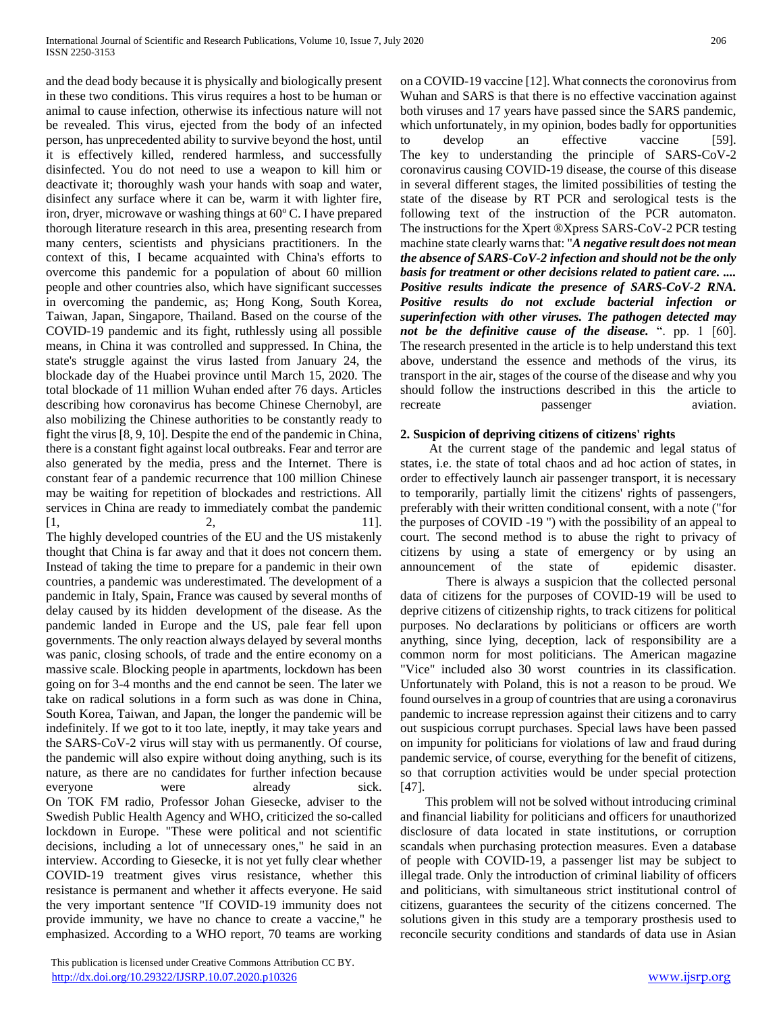and the dead body because it is physically and biologically present in these two conditions. This virus requires a host to be human or animal to cause infection, otherwise its infectious nature will not be revealed. This virus, ejected from the body of an infected person, has unprecedented ability to survive beyond the host, until it is effectively killed, rendered harmless, and successfully disinfected. You do not need to use a weapon to kill him or deactivate it; thoroughly wash your hands with soap and water, disinfect any surface where it can be, warm it with lighter fire, iron, dryer, microwave or washing things at 60°C. I have prepared thorough literature research in this area, presenting research from many centers, scientists and physicians practitioners. In the context of this, I became acquainted with China's efforts to overcome this pandemic for a population of about 60 million people and other countries also, which have significant successes in overcoming the pandemic, as; Hong Kong, South Korea, Taiwan, Japan, Singapore, Thailand. Based on the course of the COVID-19 pandemic and its fight, ruthlessly using all possible means, in China it was controlled and suppressed. In China, the state's struggle against the virus lasted from January 24, the blockade day of the Huabei province until March 15, 2020. The total blockade of 11 million Wuhan ended after 76 days. Articles describing how coronavirus has become Chinese Chernobyl, are also mobilizing the Chinese authorities to be constantly ready to fight the virus [8, 9, 10]. Despite the end of the pandemic in China, there is a constant fight against local outbreaks. Fear and terror are also generated by the media, press and the Internet. There is constant fear of a pandemic recurrence that 100 million Chinese may be waiting for repetition of blockades and restrictions. All services in China are ready to immediately combat the pandemic  $[1, 2, 11].$ The highly developed countries of the EU and the US mistakenly

thought that China is far away and that it does not concern them. Instead of taking the time to prepare for a pandemic in their own countries, a pandemic was underestimated. The development of a pandemic in Italy, Spain, France was caused by several months of delay caused by its hidden development of the disease. As the pandemic landed in Europe and the US, pale fear fell upon governments. The only reaction always delayed by several months was panic, closing schools, of trade and the entire economy on a massive scale. Blocking people in apartments, lockdown has been going on for 3-4 months and the end cannot be seen. The later we take on radical solutions in a form such as was done in China, South Korea, Taiwan, and Japan, the longer the pandemic will be indefinitely. If we got to it too late, ineptly, it may take years and the SARS-CoV-2 virus will stay with us permanently. Of course, the pandemic will also expire without doing anything, such is its nature, as there are no candidates for further infection because everyone were already sick. On TOK FM radio, Professor Johan Giesecke, adviser to the Swedish Public Health Agency and WHO, criticized the so-called lockdown in Europe. "These were political and not scientific decisions, including a lot of unnecessary ones," he said in an interview. According to Giesecke, it is not yet fully clear whether COVID-19 treatment gives virus resistance, whether this resistance is permanent and whether it affects everyone. He said the very important sentence "If COVID-19 immunity does not provide immunity, we have no chance to create a vaccine," he emphasized. According to a WHO report, 70 teams are working on a COVID-19 vaccine [12]. What connects the coronovirus from Wuhan and SARS is that there is no effective vaccination against both viruses and 17 years have passed since the SARS pandemic, which unfortunately, in my opinion, bodes badly for opportunities to develop an effective vaccine [59]. The key to understanding the principle of SARS-CoV-2 coronavirus causing COVID-19 disease, the course of this disease in several different stages, the limited possibilities of testing the state of the disease by RT PCR and serological tests is the following text of the instruction of the PCR automaton. The instructions for the Xpert ®Xpress SARS-CoV-2 PCR testing machine state clearly warns that: "*A negative result does not mean the absence of SARS-CoV-2 infection and should not be the only basis for treatment or other decisions related to patient care. .... Positive results indicate the presence of SARS-CoV-2 RNA. Positive results do not exclude bacterial infection or superinfection with other viruses. The pathogen detected may not be the definitive cause of the disease.* ". pp. 1 [60]. The research presented in the article is to help understand this text above, understand the essence and methods of the virus, its transport in the air, stages of the course of the disease and why you should follow the instructions described in this the article to recreate passenger aviation.

#### **2. Suspicion of depriving citizens of citizens' rights**

 At the current stage of the pandemic and legal status of states, i.e. the state of total chaos and ad hoc action of states, in order to effectively launch air passenger transport, it is necessary to temporarily, partially limit the citizens' rights of passengers, preferably with their written conditional consent, with a note ("for the purposes of COVID -19 ") with the possibility of an appeal to court. The second method is to abuse the right to privacy of citizens by using a state of emergency or by using an announcement of the state of epidemic disaster.

There is always a suspicion that the collected personal data of citizens for the purposes of COVID-19 will be used to deprive citizens of citizenship rights, to track citizens for political purposes. No declarations by politicians or officers are worth anything, since lying, deception, lack of responsibility are a common norm for most politicians. The American magazine "Vice" included also 30 worst countries in its classification. Unfortunately with Poland, this is not a reason to be proud. We found ourselves in a group of countries that are using a coronavirus pandemic to increase repression against their citizens and to carry out suspicious corrupt purchases. Special laws have been passed on impunity for politicians for violations of law and fraud during pandemic service, of course, everything for the benefit of citizens, so that corruption activities would be under special protection [47].

 This problem will not be solved without introducing criminal and financial liability for politicians and officers for unauthorized disclosure of data located in state institutions, or corruption scandals when purchasing protection measures. Even a database of people with COVID-19, a passenger list may be subject to illegal trade. Only the introduction of criminal liability of officers and politicians, with simultaneous strict institutional control of citizens, guarantees the security of the citizens concerned. The solutions given in this study are a temporary prosthesis used to reconcile security conditions and standards of data use in Asian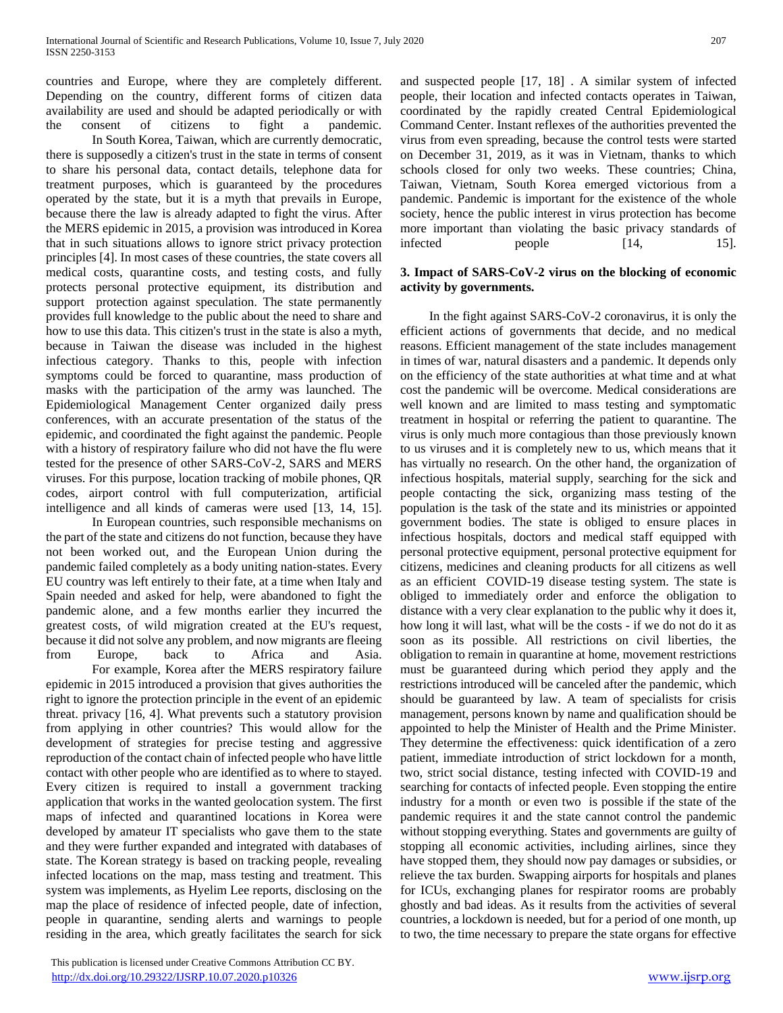countries and Europe, where they are completely different. Depending on the country, different forms of citizen data availability are used and should be adapted periodically or with the consent of citizens to fight a pandemic.

In South Korea, Taiwan, which are currently democratic, there is supposedly a citizen's trust in the state in terms of consent to share his personal data, contact details, telephone data for treatment purposes, which is guaranteed by the procedures operated by the state, but it is a myth that prevails in Europe, because there the law is already adapted to fight the virus. After the MERS epidemic in 2015, a provision was introduced in Korea that in such situations allows to ignore strict privacy protection principles [4]. In most cases of these countries, the state covers all medical costs, quarantine costs, and testing costs, and fully protects personal protective equipment, its distribution and support protection against speculation. The state permanently provides full knowledge to the public about the need to share and how to use this data. This citizen's trust in the state is also a myth, because in Taiwan the disease was included in the highest infectious category. Thanks to this, people with infection symptoms could be forced to quarantine, mass production of masks with the participation of the army was launched. The Epidemiological Management Center organized daily press conferences, with an accurate presentation of the status of the epidemic, and coordinated the fight against the pandemic. People with a history of respiratory failure who did not have the flu were tested for the presence of other SARS-CoV-2, SARS and MERS viruses. For this purpose, location tracking of mobile phones, QR codes, airport control with full computerization, artificial intelligence and all kinds of cameras were used [13, 14, 15].

In European countries, such responsible mechanisms on the part of the state and citizens do not function, because they have not been worked out, and the European Union during the pandemic failed completely as a body uniting nation-states. Every EU country was left entirely to their fate, at a time when Italy and Spain needed and asked for help, were abandoned to fight the pandemic alone, and a few months earlier they incurred the greatest costs, of wild migration created at the EU's request, because it did not solve any problem, and now migrants are fleeing from Europe, back to Africa and Asia. For example, Korea after the MERS respiratory failure

epidemic in 2015 introduced a provision that gives authorities the right to ignore the protection principle in the event of an epidemic threat. privacy [16, 4]. What prevents such a statutory provision from applying in other countries? This would allow for the development of strategies for precise testing and aggressive reproduction of the contact chain of infected people who have little contact with other people who are identified as to where to stayed. Every citizen is required to install a government tracking application that works in the wanted geolocation system. The first maps of infected and quarantined locations in Korea were developed by amateur IT specialists who gave them to the state and they were further expanded and integrated with databases of state. The Korean strategy is based on tracking people, revealing infected locations on the map, mass testing and treatment. This system was implements, as Hyelim Lee reports, disclosing on the map the place of residence of infected people, date of infection, people in quarantine, sending alerts and warnings to people residing in the area, which greatly facilitates the search for sick

 This publication is licensed under Creative Commons Attribution CC BY. <http://dx.doi.org/10.29322/IJSRP.10.07.2020.p10326> [www.ijsrp.org](http://ijsrp.org/)

and suspected people [17, 18] . A similar system of infected people, their location and infected contacts operates in Taiwan, coordinated by the rapidly created Central Epidemiological Command Center. Instant reflexes of the authorities prevented the virus from even spreading, because the control tests were started on December 31, 2019, as it was in Vietnam, thanks to which schools closed for only two weeks. These countries; China, Taiwan, Vietnam, South Korea emerged victorious from a pandemic. Pandemic is important for the existence of the whole society, hence the public interest in virus protection has become more important than violating the basic privacy standards of infected people [14, 15].

#### **3. Impact of SARS-CoV-2 virus on the blocking of economic activity by governments.**

 In the fight against SARS-CoV-2 coronavirus, it is only the efficient actions of governments that decide, and no medical reasons. Efficient management of the state includes management in times of war, natural disasters and a pandemic. It depends only on the efficiency of the state authorities at what time and at what cost the pandemic will be overcome. Medical considerations are well known and are limited to mass testing and symptomatic treatment in hospital or referring the patient to quarantine. The virus is only much more contagious than those previously known to us viruses and it is completely new to us, which means that it has virtually no research. On the other hand, the organization of infectious hospitals, material supply, searching for the sick and people contacting the sick, organizing mass testing of the population is the task of the state and its ministries or appointed government bodies. The state is obliged to ensure places in infectious hospitals, doctors and medical staff equipped with personal protective equipment, personal protective equipment for citizens, medicines and cleaning products for all citizens as well as an efficient COVID-19 disease testing system. The state is obliged to immediately order and enforce the obligation to distance with a very clear explanation to the public why it does it, how long it will last, what will be the costs - if we do not do it as soon as its possible. All restrictions on civil liberties, the obligation to remain in quarantine at home, movement restrictions must be guaranteed during which period they apply and the restrictions introduced will be canceled after the pandemic, which should be guaranteed by law. A team of specialists for crisis management, persons known by name and qualification should be appointed to help the Minister of Health and the Prime Minister. They determine the effectiveness: quick identification of a zero patient, immediate introduction of strict lockdown for a month, two, strict social distance, testing infected with COVID-19 and searching for contacts of infected people. Even stopping the entire industry for a month or even two is possible if the state of the pandemic requires it and the state cannot control the pandemic without stopping everything. States and governments are guilty of stopping all economic activities, including airlines, since they have stopped them, they should now pay damages or subsidies, or relieve the tax burden. Swapping airports for hospitals and planes for ICUs, exchanging planes for respirator rooms are probably ghostly and bad ideas. As it results from the activities of several countries, a lockdown is needed, but for a period of one month, up to two, the time necessary to prepare the state organs for effective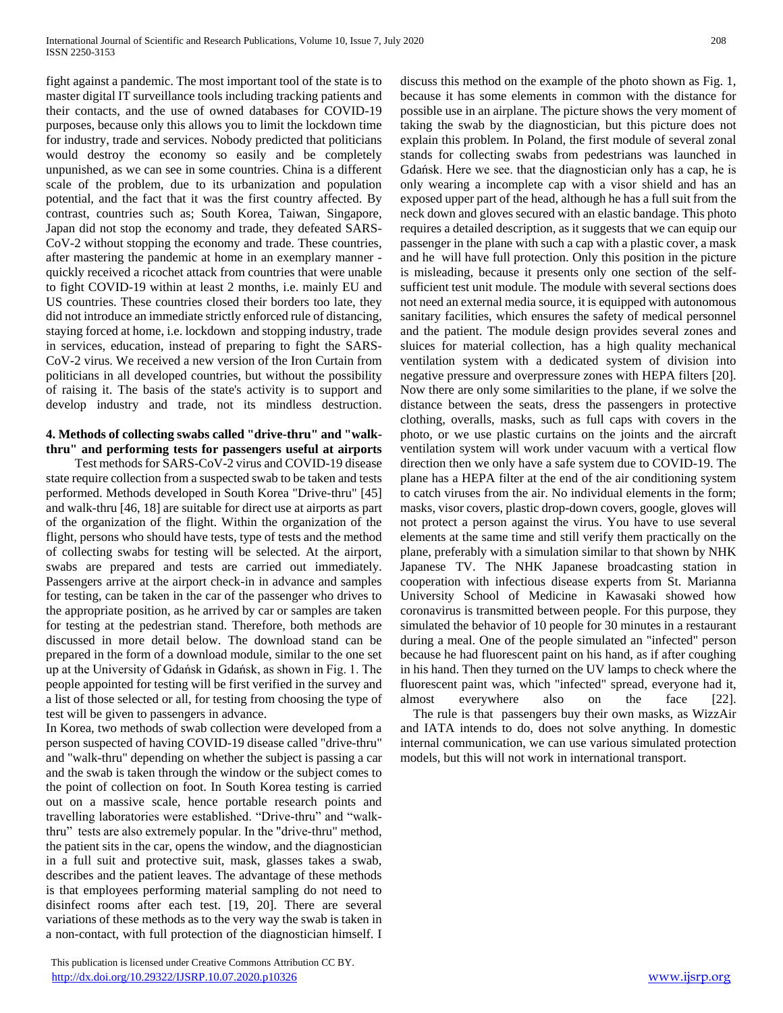fight against a pandemic. The most important tool of the state is to master digital IT surveillance tools including tracking patients and their contacts, and the use of owned databases for COVID-19 purposes, because only this allows you to limit the lockdown time for industry, trade and services. Nobody predicted that politicians would destroy the economy so easily and be completely unpunished, as we can see in some countries. China is a different scale of the problem, due to its urbanization and population potential, and the fact that it was the first country affected. By contrast, countries such as; South Korea, Taiwan, Singapore, Japan did not stop the economy and trade, they defeated SARS-CoV-2 without stopping the economy and trade. These countries, after mastering the pandemic at home in an exemplary manner quickly received a ricochet attack from countries that were unable to fight COVID-19 within at least 2 months, i.e. mainly EU and US countries. These countries closed their borders too late, they did not introduce an immediate strictly enforced rule of distancing, staying forced at home, i.e. lockdown and stopping industry, trade in services, education, instead of preparing to fight the SARS-CoV-2 virus. We received a new version of the Iron Curtain from politicians in all developed countries, but without the possibility of raising it. The basis of the state's activity is to support and develop industry and trade, not its mindless destruction.

# **4. Methods of collecting swabs called "drive-thru" and "walkthru" and performing tests for passengers useful at airports**

 Test methods for SARS-CoV-2 virus and COVID-19 disease state require collection from a suspected swab to be taken and tests performed. Methods developed in South Korea "Drive-thru" [45] and walk-thru [46, 18] are suitable for direct use at airports as part of the organization of the flight. Within the organization of the flight, persons who should have tests, type of tests and the method of collecting swabs for testing will be selected. At the airport, swabs are prepared and tests are carried out immediately. Passengers arrive at the airport check-in in advance and samples for testing, can be taken in the car of the passenger who drives to the appropriate position, as he arrived by car or samples are taken for testing at the pedestrian stand. Therefore, both methods are discussed in more detail below. The download stand can be prepared in the form of a download module, similar to the one set up at the University of Gdańsk in Gdańsk, as shown in Fig. 1. The people appointed for testing will be first verified in the survey and a list of those selected or all, for testing from choosing the type of test will be given to passengers in advance.

In Korea, two methods of swab collection were developed from a person suspected of having COVID-19 disease called "drive-thru" and "walk-thru" depending on whether the subject is passing a car and the swab is taken through the window or the subject comes to the point of collection on foot. In South Korea testing is carried out on a massive scale, hence portable research points and travelling laboratories were established. "Drive-thru" and "walkthru" tests are also extremely popular. In the "drive-thru" method, the patient sits in the car, opens the window, and the diagnostician in a full suit and protective suit, mask, glasses takes a swab, describes and the patient leaves. The advantage of these methods is that employees performing material sampling do not need to disinfect rooms after each test. [19, 20]. There are several variations of these methods as to the very way the swab is taken in a non-contact, with full protection of the diagnostician himself. I

 This publication is licensed under Creative Commons Attribution CC BY. <http://dx.doi.org/10.29322/IJSRP.10.07.2020.p10326> [www.ijsrp.org](http://ijsrp.org/)

discuss this method on the example of the photo shown as Fig. 1, because it has some elements in common with the distance for possible use in an airplane. The picture shows the very moment of taking the swab by the diagnostician, but this picture does not explain this problem. In Poland, the first module of several zonal stands for collecting swabs from pedestrians was launched in Gdańsk. Here we see. that the diagnostician only has a cap, he is only wearing a incomplete cap with a visor shield and has an exposed upper part of the head, although he has a full suit from the neck down and gloves secured with an elastic bandage. This photo requires a detailed description, as it suggests that we can equip our passenger in the plane with such a cap with a plastic cover, a mask and he will have full protection. Only this position in the picture is misleading, because it presents only one section of the selfsufficient test unit module. The module with several sections does not need an external media source, it is equipped with autonomous sanitary facilities, which ensures the safety of medical personnel and the patient. The module design provides several zones and sluices for material collection, has a high quality mechanical ventilation system with a dedicated system of division into negative pressure and overpressure zones with HEPA filters [20]. Now there are only some similarities to the plane, if we solve the distance between the seats, dress the passengers in protective clothing, overalls, masks, such as full caps with covers in the photo, or we use plastic curtains on the joints and the aircraft ventilation system will work under vacuum with a vertical flow direction then we only have a safe system due to COVID-19. The plane has a HEPA filter at the end of the air conditioning system to catch viruses from the air. No individual elements in the form; masks, visor covers, plastic drop-down covers, google, gloves will not protect a person against the virus. You have to use several elements at the same time and still verify them practically on the plane, preferably with a simulation similar to that shown by NHK Japanese TV. The NHK Japanese broadcasting station in cooperation with infectious disease experts from St. Marianna University School of Medicine in Kawasaki showed how coronavirus is transmitted between people. For this purpose, they simulated the behavior of 10 people for 30 minutes in a restaurant during a meal. One of the people simulated an "infected" person because he had fluorescent paint on his hand, as if after coughing in his hand. Then they turned on the UV lamps to check where the fluorescent paint was, which "infected" spread, everyone had it, almost everywhere also on the face [22].

 The rule is that passengers buy their own masks, as WizzAir and IATA intends to do, does not solve anything. In domestic internal communication, we can use various simulated protection models, but this will not work in international transport.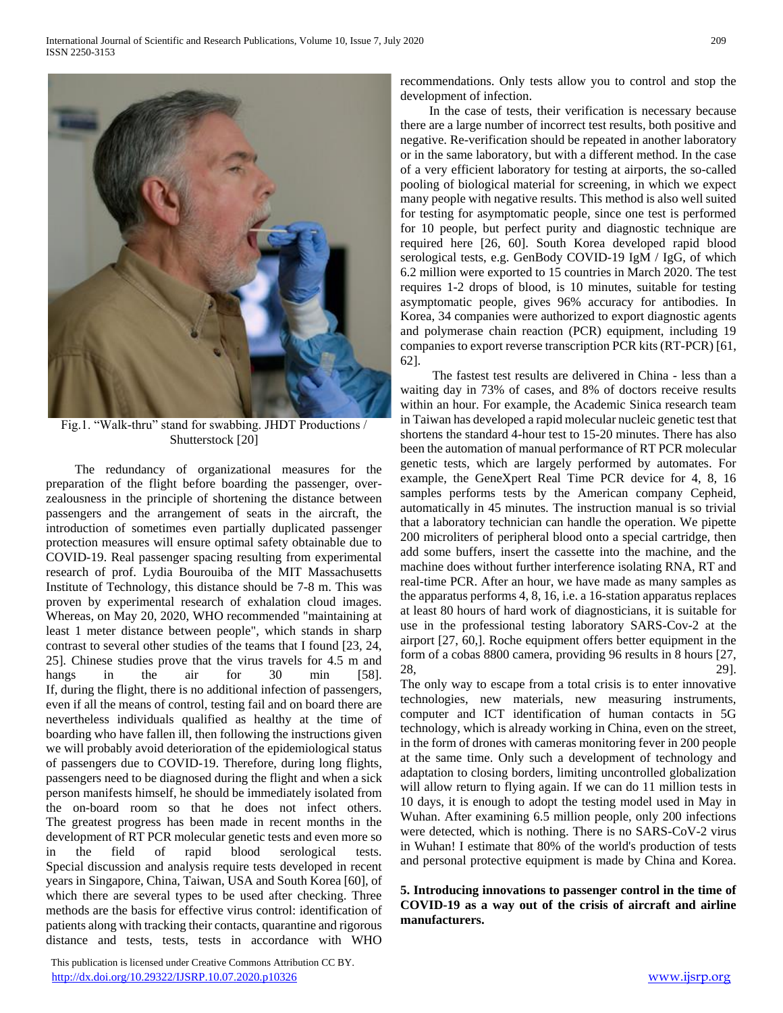

Fig.1. "Walk-thru" stand for swabbing. JHDT Productions / Shutterstock [20]

 The redundancy of organizational measures for the preparation of the flight before boarding the passenger, overzealousness in the principle of shortening the distance between passengers and the arrangement of seats in the aircraft, the introduction of sometimes even partially duplicated passenger protection measures will ensure optimal safety obtainable due to COVID-19. Real passenger spacing resulting from experimental research of prof. Lydia Bourouiba of the MIT Massachusetts Institute of Technology, this distance should be 7-8 m. This was proven by experimental research of exhalation cloud images. Whereas, on May 20, 2020, WHO recommended "maintaining at least 1 meter distance between people", which stands in sharp contrast to several other studies of the teams that I found [23, 24, 25]. Chinese studies prove that the virus travels for 4.5 m and hangs in the air for 30 min [58]. If, during the flight, there is no additional infection of passengers, even if all the means of control, testing fail and on board there are nevertheless individuals qualified as healthy at the time of boarding who have fallen ill, then following the instructions given we will probably avoid deterioration of the epidemiological status of passengers due to COVID-19. Therefore, during long flights, passengers need to be diagnosed during the flight and when a sick person manifests himself, he should be immediately isolated from the on-board room so that he does not infect others. The greatest progress has been made in recent months in the development of RT PCR molecular genetic tests and even more so in the field of rapid blood serological tests. Special discussion and analysis require tests developed in recent years in Singapore, China, Taiwan, USA and South Korea [60], of which there are several types to be used after checking. Three methods are the basis for effective virus control: identification of patients along with tracking their contacts, quarantine and rigorous distance and tests, tests, tests in accordance with WHO

 This publication is licensed under Creative Commons Attribution CC BY. <http://dx.doi.org/10.29322/IJSRP.10.07.2020.p10326> [www.ijsrp.org](http://ijsrp.org/)

recommendations. Only tests allow you to control and stop the development of infection.

 In the case of tests, their verification is necessary because there are a large number of incorrect test results, both positive and negative. Re-verification should be repeated in another laboratory or in the same laboratory, but with a different method. In the case of a very efficient laboratory for testing at airports, the so-called pooling of biological material for screening, in which we expect many people with negative results. This method is also well suited for testing for asymptomatic people, since one test is performed for 10 people, but perfect purity and diagnostic technique are required here [26, 60]. South Korea developed rapid blood serological tests, e.g. GenBody COVID-19 IgM / IgG, of which 6.2 million were exported to 15 countries in March 2020. The test requires 1-2 drops of blood, is 10 minutes, suitable for testing asymptomatic people, gives 96% accuracy for antibodies. In Korea, 34 companies were authorized to export diagnostic agents and polymerase chain reaction (PCR) equipment, including 19 companies to export reverse transcription PCR kits (RT-PCR) [61, 62].

 The fastest test results are delivered in China - less than a waiting day in 73% of cases, and 8% of doctors receive results within an hour. For example, the Academic Sinica research team in Taiwan has developed a rapid molecular nucleic genetic test that shortens the standard 4-hour test to 15-20 minutes. There has also been the automation of manual performance of RT PCR molecular genetic tests, which are largely performed by automates. For example, the GeneXpert Real Time PCR device for 4, 8, 16 samples performs tests by the American company Cepheid, automatically in 45 minutes. The instruction manual is so trivial that a laboratory technician can handle the operation. We pipette 200 microliters of peripheral blood onto a special cartridge, then add some buffers, insert the cassette into the machine, and the machine does without further interference isolating RNA, RT and real-time PCR. After an hour, we have made as many samples as the apparatus performs 4, 8, 16, i.e. a 16-station apparatus replaces at least 80 hours of hard work of diagnosticians, it is suitable for use in the professional testing laboratory SARS-Cov-2 at the airport [27, 60,]. Roche equipment offers better equipment in the form of a cobas 8800 camera, providing 96 results in 8 hours [27, 28, 29].

The only way to escape from a total crisis is to enter innovative technologies, new materials, new measuring instruments, computer and ICT identification of human contacts in 5G technology, which is already working in China, even on the street, in the form of drones with cameras monitoring fever in 200 people at the same time. Only such a development of technology and adaptation to closing borders, limiting uncontrolled globalization will allow return to flying again. If we can do 11 million tests in 10 days, it is enough to adopt the testing model used in May in Wuhan. After examining 6.5 million people, only 200 infections were detected, which is nothing. There is no SARS-CoV-2 virus in Wuhan! I estimate that 80% of the world's production of tests and personal protective equipment is made by China and Korea.

**5. Introducing innovations to passenger control in the time of COVID-19 as a way out of the crisis of aircraft and airline manufacturers.**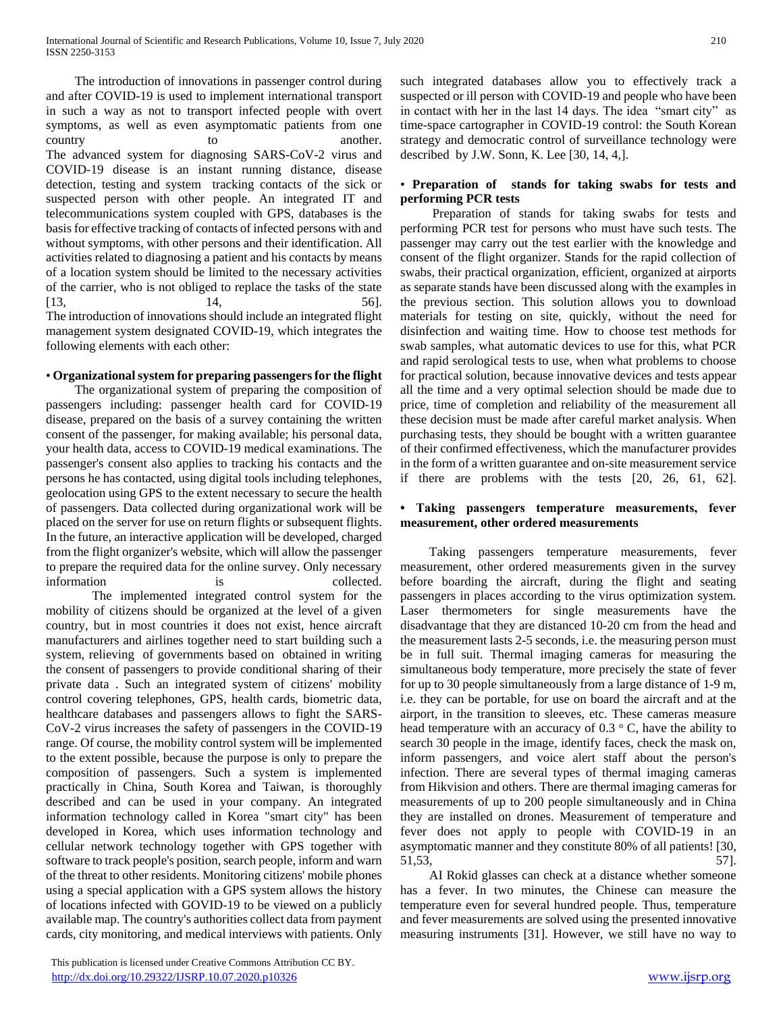The introduction of innovations in passenger control during and after COVID-19 is used to implement international transport in such a way as not to transport infected people with overt symptoms, as well as even asymptomatic patients from one country to to another. The advanced system for diagnosing SARS-CoV-2 virus and COVID-19 disease is an instant running distance, disease detection, testing and system tracking contacts of the sick or suspected person with other people. An integrated IT and telecommunications system coupled with GPS, databases is the basis for effective tracking of contacts of infected persons with and without symptoms, with other persons and their identification. All activities related to diagnosing a patient and his contacts by means of a location system should be limited to the necessary activities of the carrier, who is not obliged to replace the tasks of the state  $[13, 56]$ . The introduction of innovations should include an integrated flight management system designated COVID-19, which integrates the following elements with each other:

#### • **Organizational system for preparing passengers for the flight**

 The organizational system of preparing the composition of passengers including: passenger health card for COVID-19 disease, prepared on the basis of a survey containing the written consent of the passenger, for making available; his personal data, your health data, access to COVID-19 medical examinations. The passenger's consent also applies to tracking his contacts and the persons he has contacted, using digital tools including telephones, geolocation using GPS to the extent necessary to secure the health of passengers. Data collected during organizational work will be placed on the server for use on return flights or subsequent flights. In the future, an interactive application will be developed, charged from the flight organizer's website, which will allow the passenger to prepare the required data for the online survey. Only necessary information is is collected.

The implemented integrated control system for the mobility of citizens should be organized at the level of a given country, but in most countries it does not exist, hence aircraft manufacturers and airlines together need to start building such a system, relieving of governments based on obtained in writing the consent of passengers to provide conditional sharing of their private data . Such an integrated system of citizens' mobility control covering telephones, GPS, health cards, biometric data, healthcare databases and passengers allows to fight the SARS-CoV-2 virus increases the safety of passengers in the COVID-19 range. Of course, the mobility control system will be implemented to the extent possible, because the purpose is only to prepare the composition of passengers. Such a system is implemented practically in China, South Korea and Taiwan, is thoroughly described and can be used in your company. An integrated information technology called in Korea "smart city" has been developed in Korea, which uses information technology and cellular network technology together with GPS together with software to track people's position, search people, inform and warn of the threat to other residents. Monitoring citizens' mobile phones using a special application with a GPS system allows the history of locations infected with GOVID-19 to be viewed on a publicly available map. The country's authorities collect data from payment cards, city monitoring, and medical interviews with patients. Only

 This publication is licensed under Creative Commons Attribution CC BY. <http://dx.doi.org/10.29322/IJSRP.10.07.2020.p10326> [www.ijsrp.org](http://ijsrp.org/)

such integrated databases allow you to effectively track a suspected or ill person with COVID-19 and people who have been in contact with her in the last 14 days. The idea "smart city" as time-space cartographer in COVID-19 control: the South Korean strategy and democratic control of surveillance technology were described by J.W. Sonn, K. Lee [30, 14, 4,].

#### • **Preparation of stands for taking swabs for tests and performing PCR tests**

 Preparation of stands for taking swabs for tests and performing PCR test for persons who must have such tests. The passenger may carry out the test earlier with the knowledge and consent of the flight organizer. Stands for the rapid collection of swabs, their practical organization, efficient, organized at airports as separate stands have been discussed along with the examples in the previous section. This solution allows you to download materials for testing on site, quickly, without the need for disinfection and waiting time. How to choose test methods for swab samples, what automatic devices to use for this, what PCR and rapid serological tests to use, when what problems to choose for practical solution, because innovative devices and tests appear all the time and a very optimal selection should be made due to price, time of completion and reliability of the measurement all these decision must be made after careful market analysis. When purchasing tests, they should be bought with a written guarantee of their confirmed effectiveness, which the manufacturer provides in the form of a written guarantee and on-site measurement service if there are problems with the tests [20, 26, 61, 62].

#### **• Taking passengers temperature measurements, fever measurement, other ordered measurements**

 Taking passengers temperature measurements, fever measurement, other ordered measurements given in the survey before boarding the aircraft, during the flight and seating passengers in places according to the virus optimization system. Laser thermometers for single measurements have the disadvantage that they are distanced 10-20 cm from the head and the measurement lasts 2-5 seconds, i.e. the measuring person must be in full suit. Thermal imaging cameras for measuring the simultaneous body temperature, more precisely the state of fever for up to 30 people simultaneously from a large distance of 1-9 m, i.e. they can be portable, for use on board the aircraft and at the airport, in the transition to sleeves, etc. These cameras measure head temperature with an accuracy of  $0.3 \degree$  C, have the ability to search 30 people in the image, identify faces, check the mask on, inform passengers, and voice alert staff about the person's infection. There are several types of thermal imaging cameras from Hikvision and others. There are thermal imaging cameras for measurements of up to 200 people simultaneously and in China they are installed on drones. Measurement of temperature and fever does not apply to people with COVID-19 in an asymptomatic manner and they constitute 80% of all patients! [30, 51,53, 57].

 AI Rokid glasses can check at a distance whether someone has a fever. In two minutes, the Chinese can measure the temperature even for several hundred people. Thus, temperature and fever measurements are solved using the presented innovative measuring instruments [31]. However, we still have no way to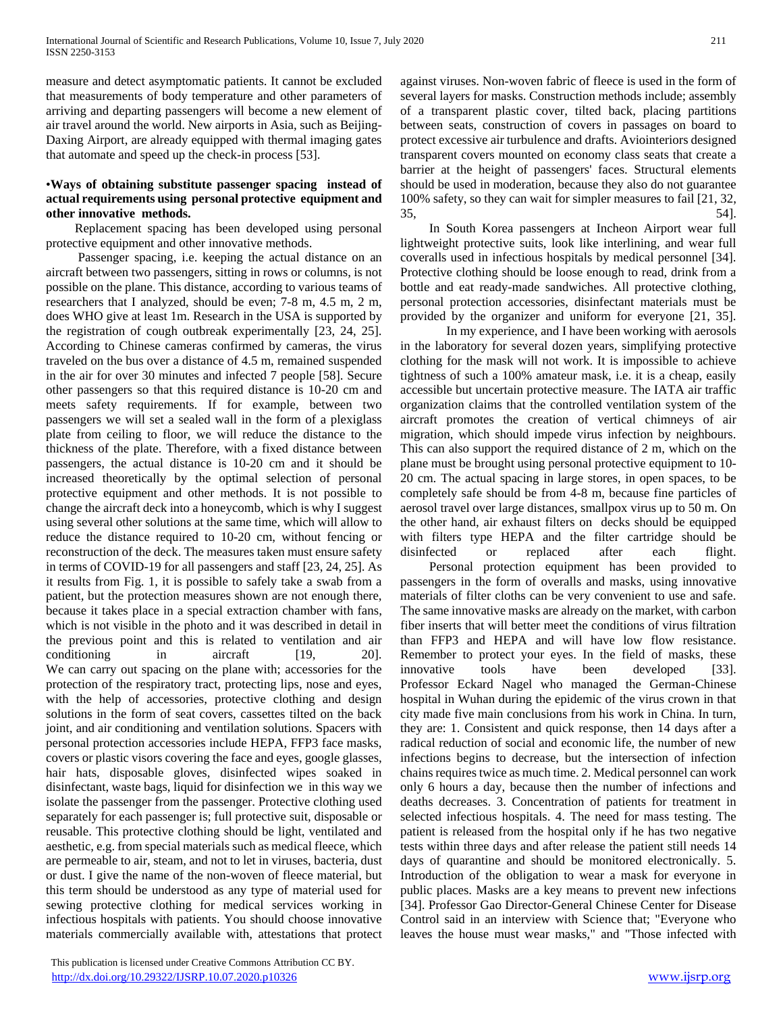measure and detect asymptomatic patients. It cannot be excluded that measurements of body temperature and other parameters of arriving and departing passengers will become a new element of air travel around the world. New airports in Asia, such as Beijing-Daxing Airport, are already equipped with thermal imaging gates that automate and speed up the check-in process [53].

#### •**Ways of obtaining substitute passenger spacing instead of actual requirements using personal protective equipment and other innovative methods.**

 Replacement spacing has been developed using personal protective equipment and other innovative methods.

 Passenger spacing, i.e. keeping the actual distance on an aircraft between two passengers, sitting in rows or columns, is not possible on the plane. This distance, according to various teams of researchers that I analyzed, should be even; 7-8 m, 4.5 m, 2 m, does WHO give at least 1m. Research in the USA is supported by the registration of cough outbreak experimentally [23, 24, 25]. According to Chinese cameras confirmed by cameras, the virus traveled on the bus over a distance of 4.5 m, remained suspended in the air for over 30 minutes and infected 7 people [58]. Secure other passengers so that this required distance is 10-20 cm and meets safety requirements. If for example, between two passengers we will set a sealed wall in the form of a plexiglass plate from ceiling to floor, we will reduce the distance to the thickness of the plate. Therefore, with a fixed distance between passengers, the actual distance is 10-20 cm and it should be increased theoretically by the optimal selection of personal protective equipment and other methods. It is not possible to change the aircraft deck into a honeycomb, which is why I suggest using several other solutions at the same time, which will allow to reduce the distance required to 10-20 cm, without fencing or reconstruction of the deck. The measures taken must ensure safety in terms of COVID-19 for all passengers and staff [23, 24, 25]. As it results from Fig. 1, it is possible to safely take a swab from a patient, but the protection measures shown are not enough there, because it takes place in a special extraction chamber with fans, which is not visible in the photo and it was described in detail in the previous point and this is related to ventilation and air conditioning in aircraft [19, 20]. We can carry out spacing on the plane with; accessories for the protection of the respiratory tract, protecting lips, nose and eyes, with the help of accessories, protective clothing and design solutions in the form of seat covers, cassettes tilted on the back joint, and air conditioning and ventilation solutions. Spacers with personal protection accessories include HEPA, FFP3 face masks, covers or plastic visors covering the face and eyes, google glasses, hair hats, disposable gloves, disinfected wipes soaked in disinfectant, waste bags, liquid for disinfection we in this way we isolate the passenger from the passenger. Protective clothing used separately for each passenger is; full protective suit, disposable or reusable. This protective clothing should be light, ventilated and aesthetic, e.g. from special materials such as medical fleece, which are permeable to air, steam, and not to let in viruses, bacteria, dust or dust. I give the name of the non-woven of fleece material, but this term should be understood as any type of material used for sewing protective clothing for medical services working in infectious hospitals with patients. You should choose innovative materials commercially available with, attestations that protect

 This publication is licensed under Creative Commons Attribution CC BY. <http://dx.doi.org/10.29322/IJSRP.10.07.2020.p10326> [www.ijsrp.org](http://ijsrp.org/)

against viruses. Non-woven fabric of fleece is used in the form of several layers for masks. Construction methods include; assembly of a transparent plastic cover, tilted back, placing partitions between seats, construction of covers in passages on board to protect excessive air turbulence and drafts. Aviointeriors designed transparent covers mounted on economy class seats that create a barrier at the height of passengers' faces. Structural elements should be used in moderation, because they also do not guarantee 100% safety, so they can wait for simpler measures to fail [21, 32,  $35,$   $54$ .

 In South Korea passengers at Incheon Airport wear full lightweight protective suits, look like interlining, and wear full coveralls used in infectious hospitals by medical personnel [34]. Protective clothing should be loose enough to read, drink from a bottle and eat ready-made sandwiches. All protective clothing, personal protection accessories, disinfectant materials must be provided by the organizer and uniform for everyone [21, 35].

In my experience, and I have been working with aerosols in the laboratory for several dozen years, simplifying protective clothing for the mask will not work. It is impossible to achieve tightness of such a 100% amateur mask, i.e. it is a cheap, easily accessible but uncertain protective measure. The IATA air traffic organization claims that the controlled ventilation system of the aircraft promotes the creation of vertical chimneys of air migration, which should impede virus infection by neighbours. This can also support the required distance of 2 m, which on the plane must be brought using personal protective equipment to 10- 20 cm. The actual spacing in large stores, in open spaces, to be completely safe should be from 4-8 m, because fine particles of aerosol travel over large distances, smallpox virus up to 50 m. On the other hand, air exhaust filters on decks should be equipped with filters type HEPA and the filter cartridge should be disinfected or replaced after each flight.

 Personal protection equipment has been provided to passengers in the form of overalls and masks, using innovative materials of filter cloths can be very convenient to use and safe. The same innovative masks are already on the market, with carbon fiber inserts that will better meet the conditions of virus filtration than FFP3 and HEPA and will have low flow resistance. Remember to protect your eyes. In the field of masks, these innovative tools have been developed [33]. Professor Eckard Nagel who managed the German-Chinese hospital in Wuhan during the epidemic of the virus crown in that city made five main conclusions from his work in China. In turn, they are: 1. Consistent and quick response, then 14 days after a radical reduction of social and economic life, the number of new infections begins to decrease, but the intersection of infection chains requires twice as much time. 2. Medical personnel can work only 6 hours a day, because then the number of infections and deaths decreases. 3. Concentration of patients for treatment in selected infectious hospitals. 4. The need for mass testing. The patient is released from the hospital only if he has two negative tests within three days and after release the patient still needs 14 days of quarantine and should be monitored electronically. 5. Introduction of the obligation to wear a mask for everyone in public places. Masks are a key means to prevent new infections [34]. Professor Gao Director-General Chinese Center for Disease Control said in an interview with Science that; "Everyone who leaves the house must wear masks," and "Those infected with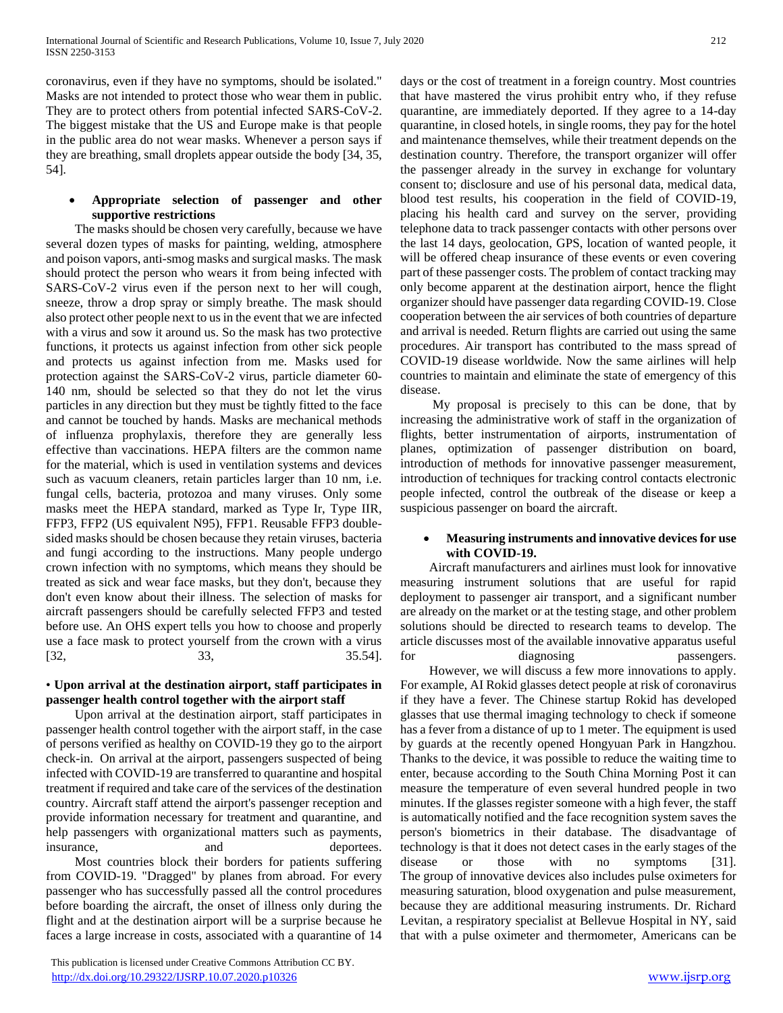coronavirus, even if they have no symptoms, should be isolated." Masks are not intended to protect those who wear them in public. They are to protect others from potential infected SARS-CoV-2. The biggest mistake that the US and Europe make is that people in the public area do not wear masks. Whenever a person says if they are breathing, small droplets appear outside the body [34, 35, 54].

#### **Appropriate selection of passenger and other supportive restrictions**

 The masks should be chosen very carefully, because we have several dozen types of masks for painting, welding, atmosphere and poison vapors, anti-smog masks and surgical masks. The mask should protect the person who wears it from being infected with SARS-CoV-2 virus even if the person next to her will cough, sneeze, throw a drop spray or simply breathe. The mask should also protect other people next to us in the event that we are infected with a virus and sow it around us. So the mask has two protective functions, it protects us against infection from other sick people and protects us against infection from me. Masks used for protection against the SARS-CoV-2 virus, particle diameter 60- 140 nm, should be selected so that they do not let the virus particles in any direction but they must be tightly fitted to the face and cannot be touched by hands. Masks are mechanical methods of influenza prophylaxis, therefore they are generally less effective than vaccinations. HEPA filters are the common name for the material, which is used in ventilation systems and devices such as vacuum cleaners, retain particles larger than 10 nm, i.e. fungal cells, bacteria, protozoa and many viruses. Only some masks meet the HEPA standard, marked as Type Ir, Type IIR, FFP3, FFP2 (US equivalent N95), FFP1. Reusable FFP3 doublesided masks should be chosen because they retain viruses, bacteria and fungi according to the instructions. Many people undergo crown infection with no symptoms, which means they should be treated as sick and wear face masks, but they don't, because they don't even know about their illness. The selection of masks for aircraft passengers should be carefully selected FFP3 and tested before use. An OHS expert tells you how to choose and properly use a face mask to protect yourself from the crown with a virus  $[32, 33, 35.54]$ 

# • **Upon arrival at the destination airport, staff participates in passenger health control together with the airport staff**

 Upon arrival at the destination airport, staff participates in passenger health control together with the airport staff, in the case of persons verified as healthy on COVID-19 they go to the airport check-in. On arrival at the airport, passengers suspected of being infected with COVID-19 are transferred to quarantine and hospital treatment if required and take care of the services of the destination country. Aircraft staff attend the airport's passenger reception and provide information necessary for treatment and quarantine, and help passengers with organizational matters such as payments, insurance, and and deportees.

 Most countries block their borders for patients suffering from COVID-19. "Dragged" by planes from abroad. For every passenger who has successfully passed all the control procedures before boarding the aircraft, the onset of illness only during the flight and at the destination airport will be a surprise because he faces a large increase in costs, associated with a quarantine of 14

 This publication is licensed under Creative Commons Attribution CC BY. <http://dx.doi.org/10.29322/IJSRP.10.07.2020.p10326> [www.ijsrp.org](http://ijsrp.org/)

days or the cost of treatment in a foreign country. Most countries that have mastered the virus prohibit entry who, if they refuse quarantine, are immediately deported. If they agree to a 14-day quarantine, in closed hotels, in single rooms, they pay for the hotel and maintenance themselves, while their treatment depends on the destination country. Therefore, the transport organizer will offer the passenger already in the survey in exchange for voluntary consent to; disclosure and use of his personal data, medical data, blood test results, his cooperation in the field of COVID-19, placing his health card and survey on the server, providing telephone data to track passenger contacts with other persons over the last 14 days, geolocation, GPS, location of wanted people, it will be offered cheap insurance of these events or even covering part of these passenger costs. The problem of contact tracking may only become apparent at the destination airport, hence the flight organizer should have passenger data regarding COVID-19. Close cooperation between the air services of both countries of departure and arrival is needed. Return flights are carried out using the same procedures. Air transport has contributed to the mass spread of COVID-19 disease worldwide. Now the same airlines will help countries to maintain and eliminate the state of emergency of this disease.

 My proposal is precisely to this can be done, that by increasing the administrative work of staff in the organization of flights, better instrumentation of airports, instrumentation of planes, optimization of passenger distribution on board, introduction of methods for innovative passenger measurement, introduction of techniques for tracking control contacts electronic people infected, control the outbreak of the disease or keep a suspicious passenger on board the aircraft.

#### **Measuring instruments and innovative devices for use with COVID-19.**

 Aircraft manufacturers and airlines must look for innovative measuring instrument solutions that are useful for rapid deployment to passenger air transport, and a significant number are already on the market or at the testing stage, and other problem solutions should be directed to research teams to develop. The article discusses most of the available innovative apparatus useful for diagnosing passengers.

 However, we will discuss a few more innovations to apply. For example, AI Rokid glasses detect people at risk of coronavirus if they have a fever. The Chinese startup Rokid has developed glasses that use thermal imaging technology to check if someone has a fever from a distance of up to 1 meter. The equipment is used by guards at the recently opened Hongyuan Park in Hangzhou. Thanks to the device, it was possible to reduce the waiting time to enter, because according to the South China Morning Post it can measure the temperature of even several hundred people in two minutes. If the glasses register someone with a high fever, the staff is automatically notified and the face recognition system saves the person's biometrics in their database. The disadvantage of technology is that it does not detect cases in the early stages of the disease or those with no symptoms [31]. The group of innovative devices also includes pulse oximeters for measuring saturation, blood oxygenation and pulse measurement, because they are additional measuring instruments. Dr. Richard Levitan, a respiratory specialist at Bellevue Hospital in NY, said that with a pulse oximeter and thermometer, Americans can be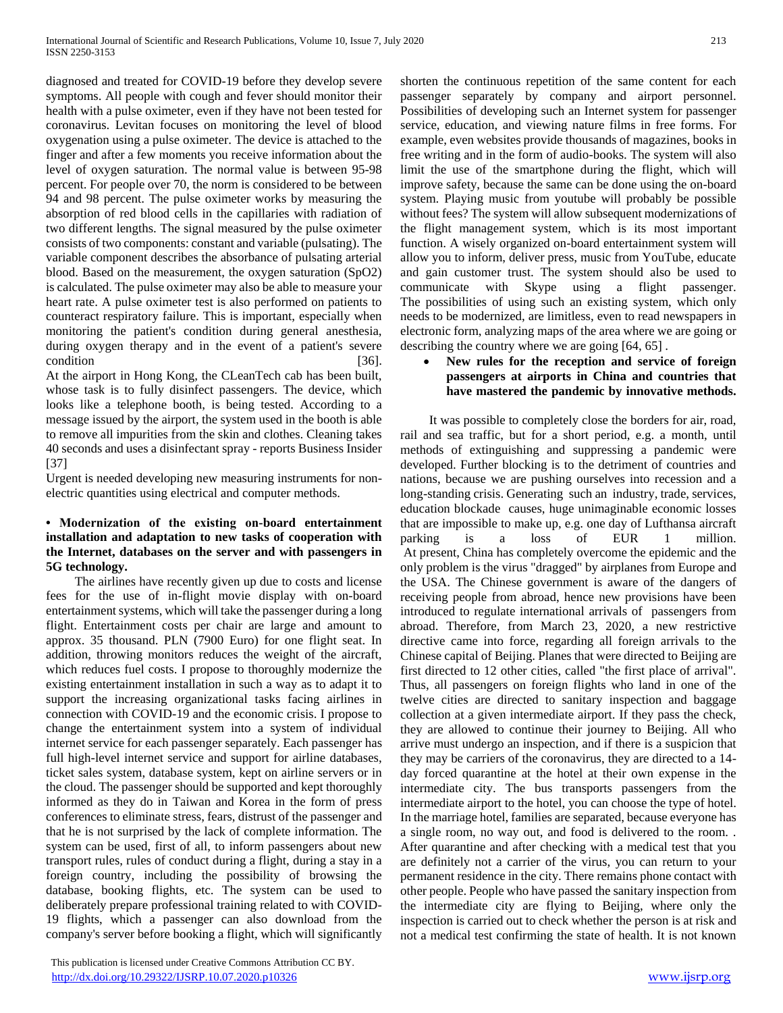diagnosed and treated for COVID-19 before they develop severe symptoms. All people with cough and fever should monitor their health with a pulse oximeter, even if they have not been tested for coronavirus. Levitan focuses on monitoring the level of blood oxygenation using a pulse oximeter. The device is attached to the finger and after a few moments you receive information about the level of oxygen saturation. The normal value is between 95-98 percent. For people over 70, the norm is considered to be between 94 and 98 percent. The pulse oximeter works by measuring the absorption of red blood cells in the capillaries with radiation of two different lengths. The signal measured by the pulse oximeter consists of two components: constant and variable (pulsating). The variable component describes the absorbance of pulsating arterial blood. Based on the measurement, the oxygen saturation (SpO2) is calculated. The pulse oximeter may also be able to measure your heart rate. A pulse oximeter test is also performed on patients to counteract respiratory failure. This is important, especially when monitoring the patient's condition during general anesthesia, during oxygen therapy and in the event of a patient's severe condition [36].

At the airport in Hong Kong, the CLeanTech cab has been built, whose task is to fully disinfect passengers. The device, which looks like a telephone booth, is being tested. According to a message issued by the airport, the system used in the booth is able to remove all impurities from the skin and clothes. Cleaning takes 40 seconds and uses a disinfectant spray - reports Business Insider [37]

Urgent is needed developing new measuring instruments for nonelectric quantities using electrical and computer methods.

#### **• Modernization of the existing on-board entertainment installation and adaptation to new tasks of cooperation with the Internet, databases on the server and with passengers in 5G technology.**

 The airlines have recently given up due to costs and license fees for the use of in-flight movie display with on-board entertainment systems, which will take the passenger during a long flight. Entertainment costs per chair are large and amount to approx. 35 thousand. PLN (7900 Euro) for one flight seat. In addition, throwing monitors reduces the weight of the aircraft, which reduces fuel costs. I propose to thoroughly modernize the existing entertainment installation in such a way as to adapt it to support the increasing organizational tasks facing airlines in connection with COVID-19 and the economic crisis. I propose to change the entertainment system into a system of individual internet service for each passenger separately. Each passenger has full high-level internet service and support for airline databases, ticket sales system, database system, kept on airline servers or in the cloud. The passenger should be supported and kept thoroughly informed as they do in Taiwan and Korea in the form of press conferences to eliminate stress, fears, distrust of the passenger and that he is not surprised by the lack of complete information. The system can be used, first of all, to inform passengers about new transport rules, rules of conduct during a flight, during a stay in a foreign country, including the possibility of browsing the database, booking flights, etc. The system can be used to deliberately prepare professional training related to with COVID-19 flights, which a passenger can also download from the company's server before booking a flight, which will significantly

 This publication is licensed under Creative Commons Attribution CC BY. <http://dx.doi.org/10.29322/IJSRP.10.07.2020.p10326> [www.ijsrp.org](http://ijsrp.org/)

shorten the continuous repetition of the same content for each passenger separately by company and airport personnel. Possibilities of developing such an Internet system for passenger service, education, and viewing nature films in free forms. For example, even websites provide thousands of magazines, books in free writing and in the form of audio-books. The system will also limit the use of the smartphone during the flight, which will improve safety, because the same can be done using the on-board system. Playing music from youtube will probably be possible without fees? The system will allow subsequent modernizations of the flight management system, which is its most important function. A wisely organized on-board entertainment system will allow you to inform, deliver press, music from YouTube, educate and gain customer trust. The system should also be used to communicate with Skype using a flight passenger. The possibilities of using such an existing system, which only needs to be modernized, are limitless, even to read newspapers in electronic form, analyzing maps of the area where we are going or describing the country where we are going [64, 65] .

#### **New rules for the reception and service of foreign passengers at airports in China and countries that have mastered the pandemic by innovative methods.**

 It was possible to completely close the borders for air, road, rail and sea traffic, but for a short period, e.g. a month, until methods of extinguishing and suppressing a pandemic were developed. Further blocking is to the detriment of countries and nations, because we are pushing ourselves into recession and a long-standing crisis. Generating such an industry, trade, services, education blockade causes, huge unimaginable economic losses that are impossible to make up, e.g. one day of Lufthansa aircraft parking is a loss of EUR 1 million. At present, China has completely overcome the epidemic and the only problem is the virus "dragged" by airplanes from Europe and the USA. The Chinese government is aware of the dangers of receiving people from abroad, hence new provisions have been introduced to regulate international arrivals of passengers from abroad. Therefore, from March 23, 2020, a new restrictive directive came into force, regarding all foreign arrivals to the Chinese capital of Beijing. Planes that were directed to Beijing are first directed to 12 other cities, called "the first place of arrival". Thus, all passengers on foreign flights who land in one of the twelve cities are directed to sanitary inspection and baggage collection at a given intermediate airport. If they pass the check, they are allowed to continue their journey to Beijing. All who arrive must undergo an inspection, and if there is a suspicion that they may be carriers of the coronavirus, they are directed to a 14 day forced quarantine at the hotel at their own expense in the intermediate city. The bus transports passengers from the intermediate airport to the hotel, you can choose the type of hotel. In the marriage hotel, families are separated, because everyone has a single room, no way out, and food is delivered to the room. . After quarantine and after checking with a medical test that you are definitely not a carrier of the virus, you can return to your permanent residence in the city. There remains phone contact with other people. People who have passed the sanitary inspection from the intermediate city are flying to Beijing, where only the inspection is carried out to check whether the person is at risk and not a medical test confirming the state of health. It is not known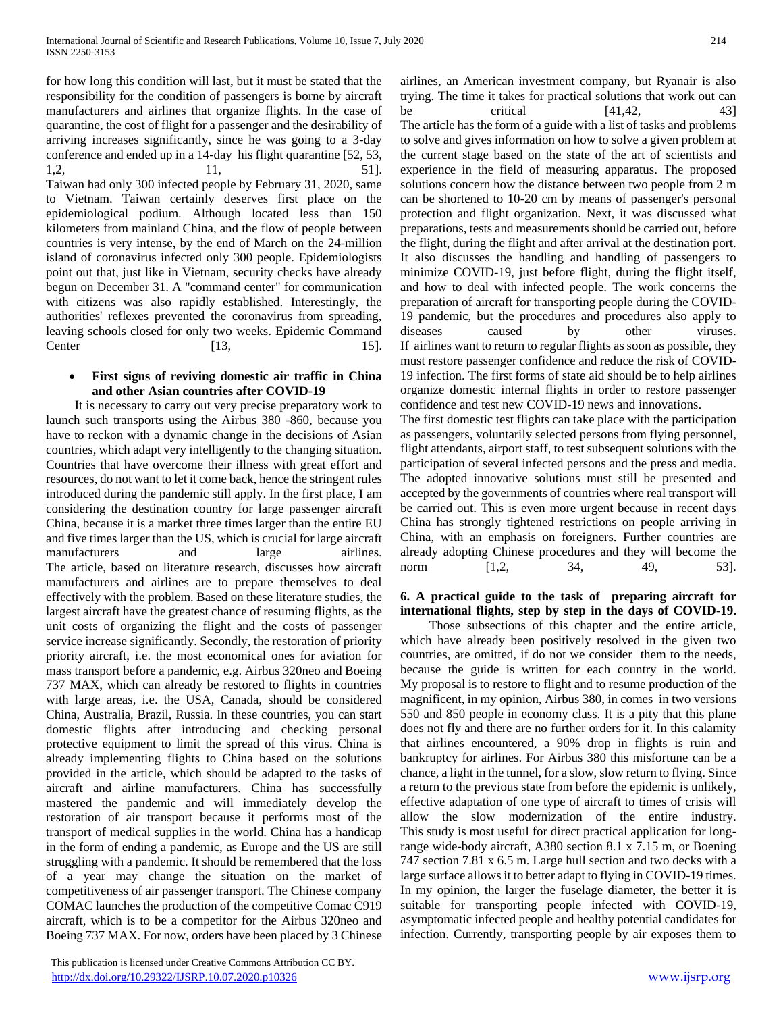for how long this condition will last, but it must be stated that the responsibility for the condition of passengers is borne by aircraft manufacturers and airlines that organize flights. In the case of quarantine, the cost of flight for a passenger and the desirability of arriving increases significantly, since he was going to a 3-day conference and ended up in a 14-day his flight quarantine [52, 53, 1,2, 11, 51]. Taiwan had only 300 infected people by February 31, 2020, same to Vietnam. Taiwan certainly deserves first place on the epidemiological podium. Although located less than 150 kilometers from mainland China, and the flow of people between countries is very intense, by the end of March on the 24-million island of coronavirus infected only 300 people. Epidemiologists point out that, just like in Vietnam, security checks have already begun on December 31. A "command center" for communication with citizens was also rapidly established. Interestingly, the authorities' reflexes prevented the coronavirus from spreading, leaving schools closed for only two weeks. Epidemic Command Center [13, 15].

#### **First signs of reviving domestic air traffic in China and other Asian countries after COVID-19**

 It is necessary to carry out very precise preparatory work to launch such transports using the Airbus 380 -860, because you have to reckon with a dynamic change in the decisions of Asian countries, which adapt very intelligently to the changing situation. Countries that have overcome their illness with great effort and resources, do not want to let it come back, hence the stringent rules introduced during the pandemic still apply. In the first place, I am considering the destination country for large passenger aircraft China, because it is a market three times larger than the entire EU and five times larger than the US, which is crucial for large aircraft manufacturers and large airlines. The article, based on literature research, discusses how aircraft manufacturers and airlines are to prepare themselves to deal effectively with the problem. Based on these literature studies, the largest aircraft have the greatest chance of resuming flights, as the unit costs of organizing the flight and the costs of passenger service increase significantly. Secondly, the restoration of priority priority aircraft, i.e. the most economical ones for aviation for mass transport before a pandemic, e.g. Airbus 320neo and Boeing 737 MAX, which can already be restored to flights in countries with large areas, i.e. the USA, Canada, should be considered China, Australia, Brazil, Russia. In these countries, you can start domestic flights after introducing and checking personal protective equipment to limit the spread of this virus. China is already implementing flights to China based on the solutions provided in the article, which should be adapted to the tasks of aircraft and airline manufacturers. China has successfully mastered the pandemic and will immediately develop the restoration of air transport because it performs most of the transport of medical supplies in the world. China has a handicap in the form of ending a pandemic, as Europe and the US are still struggling with a pandemic. It should be remembered that the loss of a year may change the situation on the market of competitiveness of air passenger transport. The Chinese company COMAC launches the production of the competitive Comac C919 aircraft, which is to be a competitor for the Airbus 320neo and Boeing 737 MAX. For now, orders have been placed by 3 Chinese

 This publication is licensed under Creative Commons Attribution CC BY. <http://dx.doi.org/10.29322/IJSRP.10.07.2020.p10326> [www.ijsrp.org](http://ijsrp.org/)

airlines, an American investment company, but Ryanair is also trying. The time it takes for practical solutions that work out can be critical [41,42, 43] The article has the form of a guide with a list of tasks and problems to solve and gives information on how to solve a given problem at the current stage based on the state of the art of scientists and experience in the field of measuring apparatus. The proposed solutions concern how the distance between two people from 2 m can be shortened to 10-20 cm by means of passenger's personal protection and flight organization. Next, it was discussed what preparations, tests and measurements should be carried out, before the flight, during the flight and after arrival at the destination port. It also discusses the handling and handling of passengers to minimize COVID-19, just before flight, during the flight itself, and how to deal with infected people. The work concerns the preparation of aircraft for transporting people during the COVID-19 pandemic, but the procedures and procedures also apply to diseases caused by other viruses. If airlines want to return to regular flights as soon as possible, they must restore passenger confidence and reduce the risk of COVID-19 infection. The first forms of state aid should be to help airlines organize domestic internal flights in order to restore passenger confidence and test new COVID-19 news and innovations.

The first domestic test flights can take place with the participation as passengers, voluntarily selected persons from flying personnel, flight attendants, airport staff, to test subsequent solutions with the participation of several infected persons and the press and media. The adopted innovative solutions must still be presented and accepted by the governments of countries where real transport will be carried out. This is even more urgent because in recent days China has strongly tightened restrictions on people arriving in China, with an emphasis on foreigners. Further countries are already adopting Chinese procedures and they will become the norm [1,2, 34, 49, 53].

# **6. A practical guide to the task of preparing aircraft for international flights, step by step in the days of COVID-19.**

 Those subsections of this chapter and the entire article, which have already been positively resolved in the given two countries, are omitted, if do not we consider them to the needs, because the guide is written for each country in the world. My proposal is to restore to flight and to resume production of the magnificent, in my opinion, Airbus 380, in comes in two versions 550 and 850 people in economy class. It is a pity that this plane does not fly and there are no further orders for it. In this calamity that airlines encountered, a 90% drop in flights is ruin and bankruptcy for airlines. For Airbus 380 this misfortune can be a chance, a light in the tunnel, for a slow, slow return to flying. Since a return to the previous state from before the epidemic is unlikely, effective adaptation of one type of aircraft to times of crisis will allow the slow modernization of the entire industry. This study is most useful for direct practical application for longrange wide-body aircraft, A380 section 8.1 x 7.15 m, or Boening 747 section 7.81 x 6.5 m. Large hull section and two decks with a large surface allows it to better adapt to flying in COVID-19 times. In my opinion, the larger the fuselage diameter, the better it is suitable for transporting people infected with COVID-19, asymptomatic infected people and healthy potential candidates for infection. Currently, transporting people by air exposes them to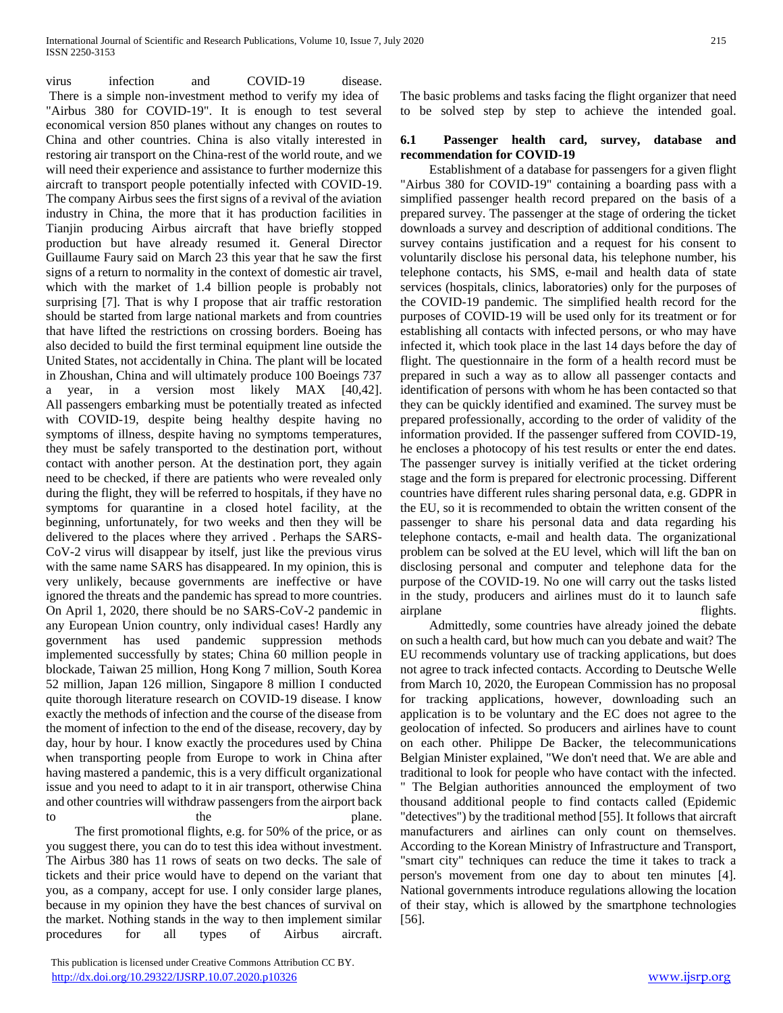virus infection and COVID-19 disease. There is a simple non-investment method to verify my idea of "Airbus 380 for COVID-19". It is enough to test several economical version 850 planes without any changes on routes to China and other countries. China is also vitally interested in restoring air transport on the China-rest of the world route, and we will need their experience and assistance to further modernize this aircraft to transport people potentially infected with COVID-19. The company Airbus sees the first signs of a revival of the aviation industry in China, the more that it has production facilities in Tianjin producing Airbus aircraft that have briefly stopped production but have already resumed it. General Director Guillaume Faury said on March 23 this year that he saw the first signs of a return to normality in the context of domestic air travel, which with the market of 1.4 billion people is probably not surprising [7]. That is why I propose that air traffic restoration should be started from large national markets and from countries that have lifted the restrictions on crossing borders. Boeing has also decided to build the first terminal equipment line outside the United States, not accidentally in China. The plant will be located in Zhoushan, China and will ultimately produce 100 Boeings 737 a year, in a version most likely MAX [40,42]. All passengers embarking must be potentially treated as infected with COVID-19, despite being healthy despite having no symptoms of illness, despite having no symptoms temperatures, they must be safely transported to the destination port, without contact with another person. At the destination port, they again need to be checked, if there are patients who were revealed only during the flight, they will be referred to hospitals, if they have no symptoms for quarantine in a closed hotel facility, at the beginning, unfortunately, for two weeks and then they will be delivered to the places where they arrived . Perhaps the SARS-CoV-2 virus will disappear by itself, just like the previous virus with the same name SARS has disappeared. In my opinion, this is very unlikely, because governments are ineffective or have ignored the threats and the pandemic has spread to more countries. On April 1, 2020, there should be no SARS-CoV-2 pandemic in any European Union country, only individual cases! Hardly any government has used pandemic suppression methods implemented successfully by states; China 60 million people in blockade, Taiwan 25 million, Hong Kong 7 million, South Korea 52 million, Japan 126 million, Singapore 8 million I conducted quite thorough literature research on COVID-19 disease. I know exactly the methods of infection and the course of the disease from the moment of infection to the end of the disease, recovery, day by day, hour by hour. I know exactly the procedures used by China when transporting people from Europe to work in China after having mastered a pandemic, this is a very difficult organizational issue and you need to adapt to it in air transport, otherwise China and other countries will withdraw passengers from the airport back to the the plane.

 The first promotional flights, e.g. for 50% of the price, or as you suggest there, you can do to test this idea without investment. The Airbus 380 has 11 rows of seats on two decks. The sale of tickets and their price would have to depend on the variant that you, as a company, accept for use. I only consider large planes, because in my opinion they have the best chances of survival on the market. Nothing stands in the way to then implement similar procedures for all types of Airbus aircraft.

 This publication is licensed under Creative Commons Attribution CC BY. <http://dx.doi.org/10.29322/IJSRP.10.07.2020.p10326> [www.ijsrp.org](http://ijsrp.org/)

The basic problems and tasks facing the flight organizer that need to be solved step by step to achieve the intended goal.

#### **6.1 Passenger health card, survey, database and recommendation for COVID-19**

 Establishment of a database for passengers for a given flight "Airbus 380 for COVID-19" containing a boarding pass with a simplified passenger health record prepared on the basis of a prepared survey. The passenger at the stage of ordering the ticket downloads a survey and description of additional conditions. The survey contains justification and a request for his consent to voluntarily disclose his personal data, his telephone number, his telephone contacts, his SMS, e-mail and health data of state services (hospitals, clinics, laboratories) only for the purposes of the COVID-19 pandemic. The simplified health record for the purposes of COVID-19 will be used only for its treatment or for establishing all contacts with infected persons, or who may have infected it, which took place in the last 14 days before the day of flight. The questionnaire in the form of a health record must be prepared in such a way as to allow all passenger contacts and identification of persons with whom he has been contacted so that they can be quickly identified and examined. The survey must be prepared professionally, according to the order of validity of the information provided. If the passenger suffered from COVID-19, he encloses a photocopy of his test results or enter the end dates. The passenger survey is initially verified at the ticket ordering stage and the form is prepared for electronic processing. Different countries have different rules sharing personal data, e.g. GDPR in the EU, so it is recommended to obtain the written consent of the passenger to share his personal data and data regarding his telephone contacts, e-mail and health data. The organizational problem can be solved at the EU level, which will lift the ban on disclosing personal and computer and telephone data for the purpose of the COVID-19. No one will carry out the tasks listed in the study, producers and airlines must do it to launch safe airplane flights.

 Admittedly, some countries have already joined the debate on such a health card, but how much can you debate and wait? The EU recommends voluntary use of tracking applications, but does not agree to track infected contacts. According to Deutsche Welle from March 10, 2020, the European Commission has no proposal for tracking applications, however, downloading such an application is to be voluntary and the EC does not agree to the geolocation of infected. So producers and airlines have to count on each other. Philippe De Backer, the telecommunications Belgian Minister explained, "We don't need that. We are able and traditional to look for people who have contact with the infected. " The Belgian authorities announced the employment of two thousand additional people to find contacts called (Epidemic "detectives") by the traditional method [55]. It follows that aircraft manufacturers and airlines can only count on themselves. According to the Korean Ministry of Infrastructure and Transport, "smart city" techniques can reduce the time it takes to track a person's movement from one day to about ten minutes [4]. National governments introduce regulations allowing the location of their stay, which is allowed by the smartphone technologies [56].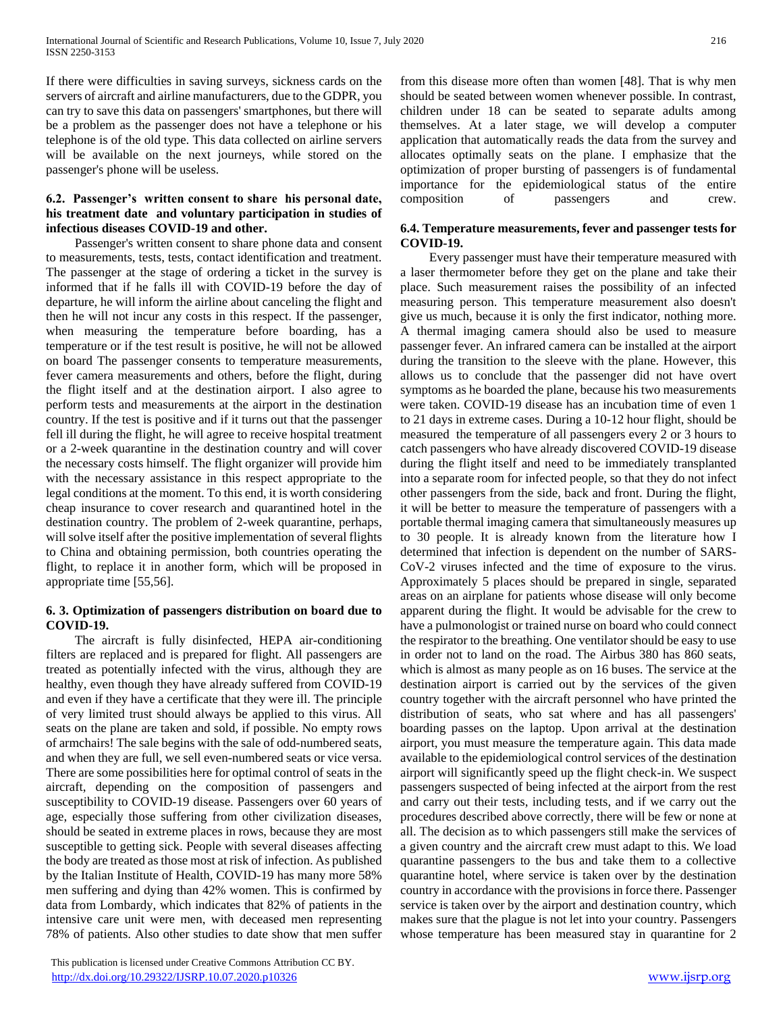If there were difficulties in saving surveys, sickness cards on the servers of aircraft and airline manufacturers, due to the GDPR, you can try to save this data on passengers' smartphones, but there will be a problem as the passenger does not have a telephone or his telephone is of the old type. This data collected on airline servers will be available on the next journeys, while stored on the passenger's phone will be useless.

#### **6.2. Passenger's written consent to share his personal date, his treatment date and voluntary participation in studies of infectious diseases COVID-19 and other.**

 Passenger's written consent to share phone data and consent to measurements, tests, tests, contact identification and treatment. The passenger at the stage of ordering a ticket in the survey is informed that if he falls ill with COVID-19 before the day of departure, he will inform the airline about canceling the flight and then he will not incur any costs in this respect. If the passenger, when measuring the temperature before boarding, has a temperature or if the test result is positive, he will not be allowed on board The passenger consents to temperature measurements, fever camera measurements and others, before the flight, during the flight itself and at the destination airport. I also agree to perform tests and measurements at the airport in the destination country. If the test is positive and if it turns out that the passenger fell ill during the flight, he will agree to receive hospital treatment or a 2-week quarantine in the destination country and will cover the necessary costs himself. The flight organizer will provide him with the necessary assistance in this respect appropriate to the legal conditions at the moment. To this end, it is worth considering cheap insurance to cover research and quarantined hotel in the destination country. The problem of 2-week quarantine, perhaps, will solve itself after the positive implementation of several flights to China and obtaining permission, both countries operating the flight, to replace it in another form, which will be proposed in appropriate time [55,56].

# **6. 3. Optimization of passengers distribution on board due to COVID-19.**

 The aircraft is fully disinfected, HEPA air-conditioning filters are replaced and is prepared for flight. All passengers are treated as potentially infected with the virus, although they are healthy, even though they have already suffered from COVID-19 and even if they have a certificate that they were ill. The principle of very limited trust should always be applied to this virus. All seats on the plane are taken and sold, if possible. No empty rows of armchairs! The sale begins with the sale of odd-numbered seats, and when they are full, we sell even-numbered seats or vice versa. There are some possibilities here for optimal control of seats in the aircraft, depending on the composition of passengers and susceptibility to COVID-19 disease. Passengers over 60 years of age, especially those suffering from other civilization diseases, should be seated in extreme places in rows, because they are most susceptible to getting sick. People with several diseases affecting the body are treated as those most at risk of infection. As published by the Italian Institute of Health, COVID-19 has many more 58% men suffering and dying than 42% women. This is confirmed by data from Lombardy, which indicates that 82% of patients in the intensive care unit were men, with deceased men representing 78% of patients. Also other studies to date show that men suffer

 This publication is licensed under Creative Commons Attribution CC BY. <http://dx.doi.org/10.29322/IJSRP.10.07.2020.p10326> [www.ijsrp.org](http://ijsrp.org/)

from this disease more often than women [48]. That is why men should be seated between women whenever possible. In contrast, children under 18 can be seated to separate adults among themselves. At a later stage, we will develop a computer application that automatically reads the data from the survey and allocates optimally seats on the plane. I emphasize that the optimization of proper bursting of passengers is of fundamental importance for the epidemiological status of the entire composition of passengers and crew.

#### **6.4. Temperature measurements, fever and passenger tests for COVID-19.**

 Every passenger must have their temperature measured with a laser thermometer before they get on the plane and take their place. Such measurement raises the possibility of an infected measuring person. This temperature measurement also doesn't give us much, because it is only the first indicator, nothing more. A thermal imaging camera should also be used to measure passenger fever. An infrared camera can be installed at the airport during the transition to the sleeve with the plane. However, this allows us to conclude that the passenger did not have overt symptoms as he boarded the plane, because his two measurements were taken. COVID-19 disease has an incubation time of even 1 to 21 days in extreme cases. During a 10-12 hour flight, should be measured the temperature of all passengers every 2 or 3 hours to catch passengers who have already discovered COVID-19 disease during the flight itself and need to be immediately transplanted into a separate room for infected people, so that they do not infect other passengers from the side, back and front. During the flight, it will be better to measure the temperature of passengers with a portable thermal imaging camera that simultaneously measures up to 30 people. It is already known from the literature how I determined that infection is dependent on the number of SARS-CoV-2 viruses infected and the time of exposure to the virus. Approximately 5 places should be prepared in single, separated areas on an airplane for patients whose disease will only become apparent during the flight. It would be advisable for the crew to have a pulmonologist or trained nurse on board who could connect the respirator to the breathing. One ventilator should be easy to use in order not to land on the road. The Airbus 380 has 860 seats, which is almost as many people as on 16 buses. The service at the destination airport is carried out by the services of the given country together with the aircraft personnel who have printed the distribution of seats, who sat where and has all passengers' boarding passes on the laptop. Upon arrival at the destination airport, you must measure the temperature again. This data made available to the epidemiological control services of the destination airport will significantly speed up the flight check-in. We suspect passengers suspected of being infected at the airport from the rest and carry out their tests, including tests, and if we carry out the procedures described above correctly, there will be few or none at all. The decision as to which passengers still make the services of a given country and the aircraft crew must adapt to this. We load quarantine passengers to the bus and take them to a collective quarantine hotel, where service is taken over by the destination country in accordance with the provisions in force there. Passenger service is taken over by the airport and destination country, which makes sure that the plague is not let into your country. Passengers whose temperature has been measured stay in quarantine for 2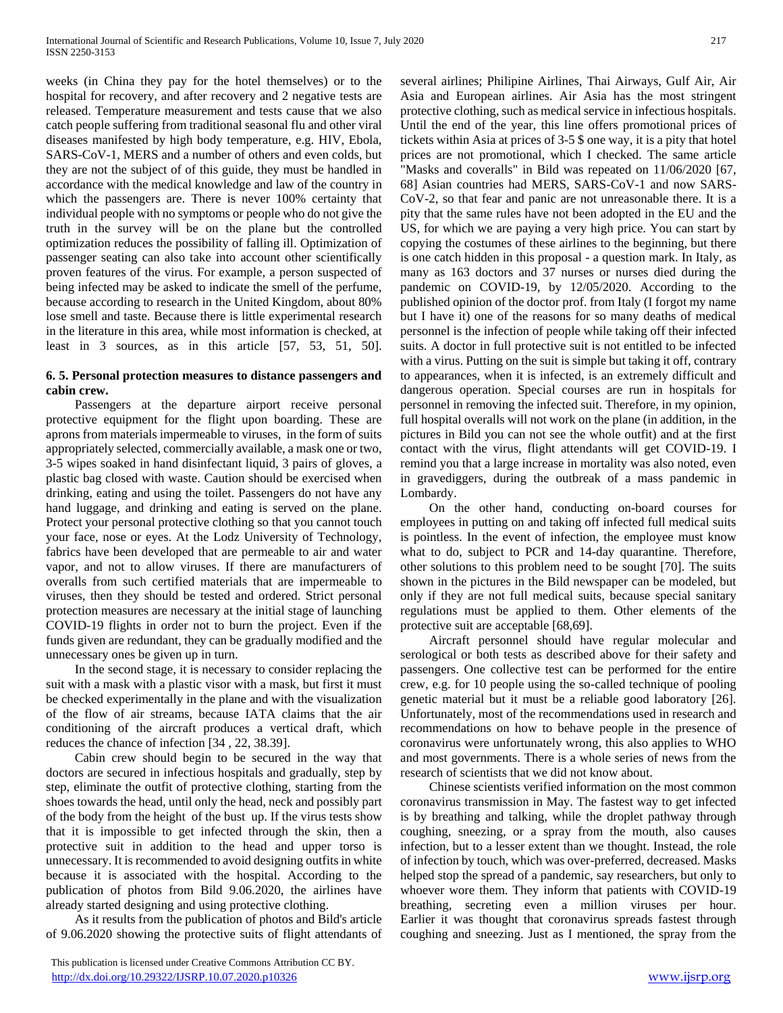weeks (in China they pay for the hotel themselves) or to the hospital for recovery, and after recovery and 2 negative tests are released. Temperature measurement and tests cause that we also catch people suffering from traditional seasonal flu and other viral diseases manifested by high body temperature, e.g. HIV, Ebola, SARS-CoV-1, MERS and a number of others and even colds, but they are not the subject of of this guide, they must be handled in accordance with the medical knowledge and law of the country in which the passengers are. There is never 100% certainty that individual people with no symptoms or people who do not give the truth in the survey will be on the plane but the controlled optimization reduces the possibility of falling ill. Optimization of passenger seating can also take into account other scientifically proven features of the virus. For example, a person suspected of being infected may be asked to indicate the smell of the perfume, because according to research in the United Kingdom, about 80% lose smell and taste. Because there is little experimental research in the literature in this area, while most information is checked, at least in 3 sources, as in this article [57, 53, 51, 50].

#### **6. 5. Personal protection measures to distance passengers and cabin crew.**

 Passengers at the departure airport receive personal protective equipment for the flight upon boarding. These are aprons from materials impermeable to viruses, in the form of suits appropriately selected, commercially available, a mask one or two, 3-5 wipes soaked in hand disinfectant liquid, 3 pairs of gloves, a plastic bag closed with waste. Caution should be exercised when drinking, eating and using the toilet. Passengers do not have any hand luggage, and drinking and eating is served on the plane. Protect your personal protective clothing so that you cannot touch your face, nose or eyes. At the Lodz University of Technology, fabrics have been developed that are permeable to air and water vapor, and not to allow viruses. If there are manufacturers of overalls from such certified materials that are impermeable to viruses, then they should be tested and ordered. Strict personal protection measures are necessary at the initial stage of launching COVID-19 flights in order not to burn the project. Even if the funds given are redundant, they can be gradually modified and the unnecessary ones be given up in turn.

 In the second stage, it is necessary to consider replacing the suit with a mask with a plastic visor with a mask, but first it must be checked experimentally in the plane and with the visualization of the flow of air streams, because IATA claims that the air conditioning of the aircraft produces a vertical draft, which reduces the chance of infection [34 , 22, 38.39].

 Cabin crew should begin to be secured in the way that doctors are secured in infectious hospitals and gradually, step by step, eliminate the outfit of protective clothing, starting from the shoes towards the head, until only the head, neck and possibly part of the body from the height of the bust up. If the virus tests show that it is impossible to get infected through the skin, then a protective suit in addition to the head and upper torso is unnecessary. It is recommended to avoid designing outfits in white because it is associated with the hospital. According to the publication of photos from Bild 9.06.2020, the airlines have already started designing and using protective clothing.

 As it results from the publication of photos and Bild's article of 9.06.2020 showing the protective suits of flight attendants of several airlines; Philipine Airlines, Thai Airways, Gulf Air, Air Asia and European airlines. Air Asia has the most stringent protective clothing, such as medical service in infectious hospitals. Until the end of the year, this line offers promotional prices of tickets within Asia at prices of 3-5 \$ one way, it is a pity that hotel prices are not promotional, which I checked. The same article "Masks and coveralls" in Bild was repeated on 11/06/2020 [67, 68] Asian countries had MERS, SARS-CoV-1 and now SARS-CoV-2, so that fear and panic are not unreasonable there. It is a pity that the same rules have not been adopted in the EU and the US, for which we are paying a very high price. You can start by copying the costumes of these airlines to the beginning, but there is one catch hidden in this proposal - a question mark. In Italy, as many as 163 doctors and 37 nurses or nurses died during the pandemic on COVID-19, by 12/05/2020. According to the published opinion of the doctor prof. from Italy (I forgot my name but I have it) one of the reasons for so many deaths of medical personnel is the infection of people while taking off their infected suits. A doctor in full protective suit is not entitled to be infected with a virus. Putting on the suit is simple but taking it off, contrary to appearances, when it is infected, is an extremely difficult and dangerous operation. Special courses are run in hospitals for personnel in removing the infected suit. Therefore, in my opinion, full hospital overalls will not work on the plane (in addition, in the pictures in Bild you can not see the whole outfit) and at the first contact with the virus, flight attendants will get COVID-19. I remind you that a large increase in mortality was also noted, even in gravediggers, during the outbreak of a mass pandemic in Lombardy.

 On the other hand, conducting on-board courses for employees in putting on and taking off infected full medical suits is pointless. In the event of infection, the employee must know what to do, subject to PCR and 14-day quarantine. Therefore, other solutions to this problem need to be sought [70]. The suits shown in the pictures in the Bild newspaper can be modeled, but only if they are not full medical suits, because special sanitary regulations must be applied to them. Other elements of the protective suit are acceptable [68,69].

 Aircraft personnel should have regular molecular and serological or both tests as described above for their safety and passengers. One collective test can be performed for the entire crew, e.g. for 10 people using the so-called technique of pooling genetic material but it must be a reliable good laboratory [26]. Unfortunately, most of the recommendations used in research and recommendations on how to behave people in the presence of coronavirus were unfortunately wrong, this also applies to WHO and most governments. There is a whole series of news from the research of scientists that we did not know about.

 Chinese scientists verified information on the most common coronavirus transmission in May. The fastest way to get infected is by breathing and talking, while the droplet pathway through coughing, sneezing, or a spray from the mouth, also causes infection, but to a lesser extent than we thought. Instead, the role of infection by touch, which was over-preferred, decreased. Masks helped stop the spread of a pandemic, say researchers, but only to whoever wore them. They inform that patients with COVID-19 breathing, secreting even a million viruses per hour. Earlier it was thought that coronavirus spreads fastest through coughing and sneezing. Just as I mentioned, the spray from the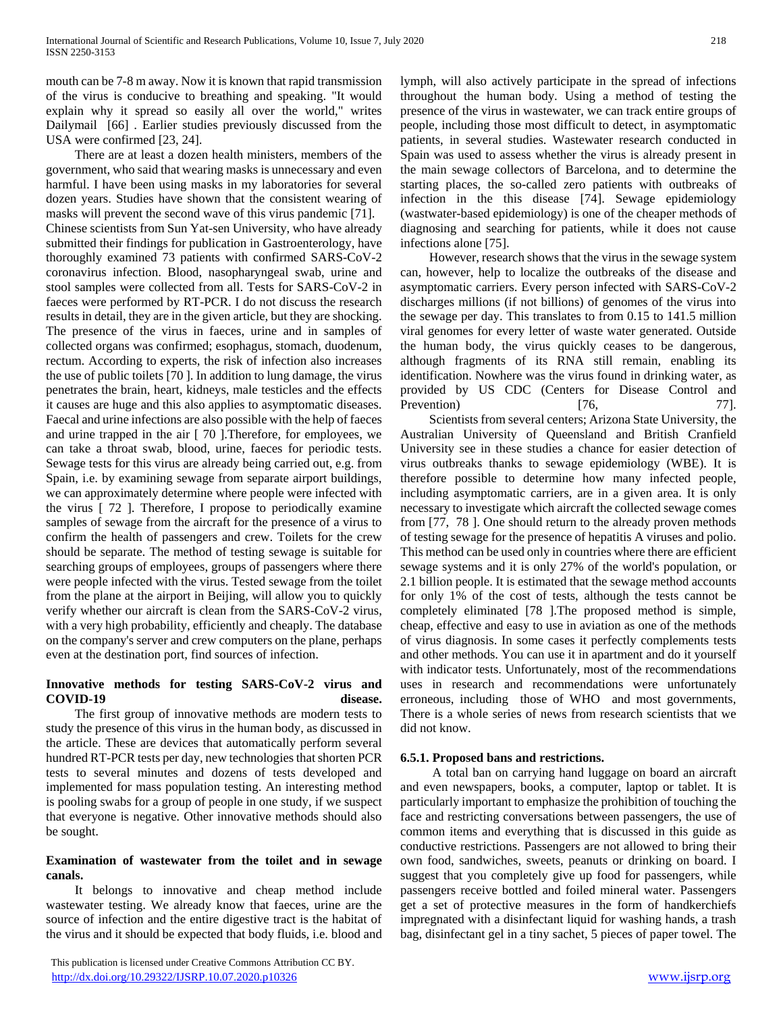mouth can be 7-8 m away. Now it is known that rapid transmission of the virus is conducive to breathing and speaking. "It would explain why it spread so easily all over the world," writes Dailymail [66] . Earlier studies previously discussed from the USA were confirmed [23, 24].

 There are at least a dozen health ministers, members of the government, who said that wearing masks is unnecessary and even harmful. I have been using masks in my laboratories for several dozen years. Studies have shown that the consistent wearing of masks will prevent the second wave of this virus pandemic [71]. Chinese scientists from Sun Yat-sen University, who have already submitted their findings for publication in Gastroenterology, have thoroughly examined 73 patients with confirmed SARS-CoV-2 coronavirus infection. Blood, nasopharyngeal swab, urine and stool samples were collected from all. Tests for SARS-CoV-2 in faeces were performed by RT-PCR. I do not discuss the research results in detail, they are in the given article, but they are shocking. The presence of the virus in faeces, urine and in samples of collected organs was confirmed; esophagus, stomach, duodenum, rectum. According to experts, the risk of infection also increases the use of public toilets [70 ]. In addition to lung damage, the virus penetrates the brain, heart, kidneys, male testicles and the effects it causes are huge and this also applies to asymptomatic diseases. Faecal and urine infections are also possible with the help of faeces and urine trapped in the air [ 70 ].Therefore, for employees, we can take a throat swab, blood, urine, faeces for periodic tests. Sewage tests for this virus are already being carried out, e.g. from Spain, i.e. by examining sewage from separate airport buildings, we can approximately determine where people were infected with the virus [ 72 ]. Therefore, I propose to periodically examine samples of sewage from the aircraft for the presence of a virus to confirm the health of passengers and crew. Toilets for the crew should be separate. The method of testing sewage is suitable for searching groups of employees, groups of passengers where there were people infected with the virus. Tested sewage from the toilet from the plane at the airport in Beijing, will allow you to quickly verify whether our aircraft is clean from the SARS-CoV-2 virus, with a very high probability, efficiently and cheaply. The database on the company's server and crew computers on the plane, perhaps even at the destination port, find sources of infection.

# **Innovative methods for testing SARS-CoV-2 virus and COVID-19 disease.**

 The first group of innovative methods are modern tests to study the presence of this virus in the human body, as discussed in the article. These are devices that automatically perform several hundred RT-PCR tests per day, new technologies that shorten PCR tests to several minutes and dozens of tests developed and implemented for mass population testing. An interesting method is pooling swabs for a group of people in one study, if we suspect that everyone is negative. Other innovative methods should also be sought.

#### **Examination of wastewater from the toilet and in sewage canals.**

 It belongs to innovative and cheap method include wastewater testing. We already know that faeces, urine are the source of infection and the entire digestive tract is the habitat of the virus and it should be expected that body fluids, i.e. blood and lymph, will also actively participate in the spread of infections throughout the human body. Using a method of testing the presence of the virus in wastewater, we can track entire groups of people, including those most difficult to detect, in asymptomatic patients, in several studies. Wastewater research conducted in Spain was used to assess whether the virus is already present in the main sewage collectors of Barcelona, and to determine the starting places, the so-called zero patients with outbreaks of infection in the this disease [74]. Sewage epidemiology (wastwater-based epidemiology) is one of the cheaper methods of diagnosing and searching for patients, while it does not cause infections alone [75].

 However, research shows that the virus in the sewage system can, however, help to localize the outbreaks of the disease and asymptomatic carriers. Every person infected with SARS-CoV-2 discharges millions (if not billions) of genomes of the virus into the sewage per day. This translates to from 0.15 to 141.5 million viral genomes for every letter of waste water generated. Outside the human body, the virus quickly ceases to be dangerous, although fragments of its RNA still remain, enabling its identification. Nowhere was the virus found in drinking water, as provided by US CDC (Centers for Disease Control and Prevention) [76, 77].

 Scientists from several centers; Arizona State University, the Australian University of Queensland and British Cranfield University see in these studies a chance for easier detection of virus outbreaks thanks to sewage epidemiology (WBE). It is therefore possible to determine how many infected people, including asymptomatic carriers, are in a given area. It is only necessary to investigate which aircraft the collected sewage comes from [77, 78 ]. One should return to the already proven methods of testing sewage for the presence of hepatitis A viruses and polio. This method can be used only in countries where there are efficient sewage systems and it is only 27% of the world's population, or 2.1 billion people. It is estimated that the sewage method accounts for only 1% of the cost of tests, although the tests cannot be completely eliminated [78 ].The proposed method is simple, cheap, effective and easy to use in aviation as one of the methods of virus diagnosis. In some cases it perfectly complements tests and other methods. You can use it in apartment and do it yourself with indicator tests. Unfortunately, most of the recommendations uses in research and recommendations were unfortunately erroneous, including those of WHO and most governments, There is a whole series of news from research scientists that we did not know.

# **6.5.1. Proposed bans and restrictions.**

 A total ban on carrying hand luggage on board an aircraft and even newspapers, books, a computer, laptop or tablet. It is particularly important to emphasize the prohibition of touching the face and restricting conversations between passengers, the use of common items and everything that is discussed in this guide as conductive restrictions. Passengers are not allowed to bring their own food, sandwiches, sweets, peanuts or drinking on board. I suggest that you completely give up food for passengers, while passengers receive bottled and foiled mineral water. Passengers get a set of protective measures in the form of handkerchiefs impregnated with a disinfectant liquid for washing hands, a trash bag, disinfectant gel in a tiny sachet, 5 pieces of paper towel. The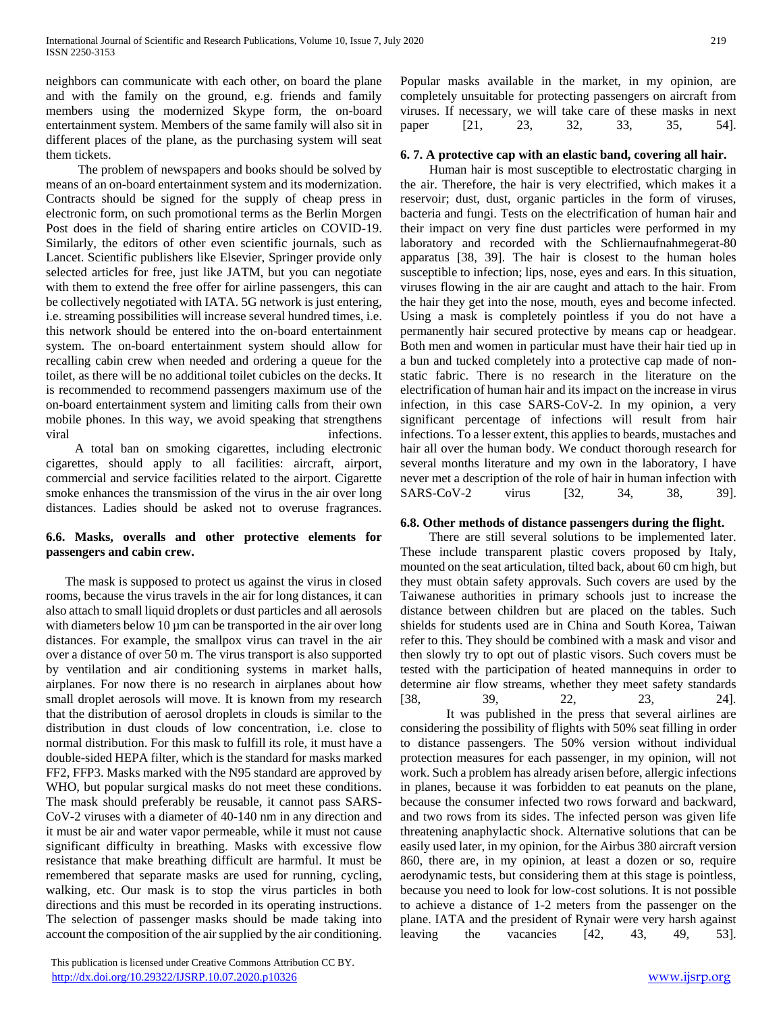neighbors can communicate with each other, on board the plane and with the family on the ground, e.g. friends and family members using the modernized Skype form, the on-board entertainment system. Members of the same family will also sit in different places of the plane, as the purchasing system will seat them tickets.

 The problem of newspapers and books should be solved by means of an on-board entertainment system and its modernization. Contracts should be signed for the supply of cheap press in electronic form, on such promotional terms as the Berlin Morgen Post does in the field of sharing entire articles on COVID-19. Similarly, the editors of other even scientific journals, such as Lancet. Scientific publishers like Elsevier, Springer provide only selected articles for free, just like JATM, but you can negotiate with them to extend the free offer for airline passengers, this can be collectively negotiated with IATA. 5G network is just entering, i.e. streaming possibilities will increase several hundred times, i.e. this network should be entered into the on-board entertainment system. The on-board entertainment system should allow for recalling cabin crew when needed and ordering a queue for the toilet, as there will be no additional toilet cubicles on the decks. It is recommended to recommend passengers maximum use of the on-board entertainment system and limiting calls from their own mobile phones. In this way, we avoid speaking that strengthens viral infections.

 A total ban on smoking cigarettes, including electronic cigarettes, should apply to all facilities: aircraft, airport, commercial and service facilities related to the airport. Cigarette smoke enhances the transmission of the virus in the air over long distances. Ladies should be asked not to overuse fragrances.

# **6.6. Masks, overalls and other protective elements for passengers and cabin crew.**

 The mask is supposed to protect us against the virus in closed rooms, because the virus travels in the air for long distances, it can also attach to small liquid droplets or dust particles and all aerosols with diameters below 10 µm can be transported in the air over long distances. For example, the smallpox virus can travel in the air over a distance of over 50 m. The virus transport is also supported by ventilation and air conditioning systems in market halls, airplanes. For now there is no research in airplanes about how small droplet aerosols will move. It is known from my research that the distribution of aerosol droplets in clouds is similar to the distribution in dust clouds of low concentration, i.e. close to normal distribution. For this mask to fulfill its role, it must have a double-sided HEPA filter, which is the standard for masks marked FF2, FFP3. Masks marked with the N95 standard are approved by WHO, but popular surgical masks do not meet these conditions. The mask should preferably be reusable, it cannot pass SARS-CoV-2 viruses with a diameter of 40-140 nm in any direction and it must be air and water vapor permeable, while it must not cause significant difficulty in breathing. Masks with excessive flow resistance that make breathing difficult are harmful. It must be remembered that separate masks are used for running, cycling, walking, etc. Our mask is to stop the virus particles in both directions and this must be recorded in its operating instructions. The selection of passenger masks should be made taking into account the composition of the air supplied by the air conditioning.

 This publication is licensed under Creative Commons Attribution CC BY. <http://dx.doi.org/10.29322/IJSRP.10.07.2020.p10326> [www.ijsrp.org](http://ijsrp.org/)

Popular masks available in the market, in my opinion, are completely unsuitable for protecting passengers on aircraft from viruses. If necessary, we will take care of these masks in next paper [21, 23, 32, 33, 35, 54].

# **6. 7. A protective cap with an elastic band, covering all hair.**

 Human hair is most susceptible to electrostatic charging in the air. Therefore, the hair is very electrified, which makes it a reservoir; dust, dust, organic particles in the form of viruses, bacteria and fungi. Tests on the electrification of human hair and their impact on very fine dust particles were performed in my laboratory and recorded with the Schliernaufnahmegerat-80 apparatus [38, 39]. The hair is closest to the human holes susceptible to infection; lips, nose, eyes and ears. In this situation, viruses flowing in the air are caught and attach to the hair. From the hair they get into the nose, mouth, eyes and become infected. Using a mask is completely pointless if you do not have a permanently hair secured protective by means cap or headgear. Both men and women in particular must have their hair tied up in a bun and tucked completely into a protective cap made of nonstatic fabric. There is no research in the literature on the electrification of human hair and its impact on the increase in virus infection, in this case SARS-CoV-2. In my opinion, a very significant percentage of infections will result from hair infections. To a lesser extent, this applies to beards, mustaches and hair all over the human body. We conduct thorough research for several months literature and my own in the laboratory, I have never met a description of the role of hair in human infection with SARS-CoV-2 virus [32, 34, 38, 39].

#### **6.8. Other methods of distance passengers during the flight.**

 There are still several solutions to be implemented later. These include transparent plastic covers proposed by Italy, mounted on the seat articulation, tilted back, about 60 cm high, but they must obtain safety approvals. Such covers are used by the Taiwanese authorities in primary schools just to increase the distance between children but are placed on the tables. Such shields for students used are in China and South Korea, Taiwan refer to this. They should be combined with a mask and visor and then slowly try to opt out of plastic visors. Such covers must be tested with the participation of heated mannequins in order to determine air flow streams, whether they meet safety standards [38, 39, 22, 23, 24].

It was published in the press that several airlines are considering the possibility of flights with 50% seat filling in order to distance passengers. The 50% version without individual protection measures for each passenger, in my opinion, will not work. Such a problem has already arisen before, allergic infections in planes, because it was forbidden to eat peanuts on the plane, because the consumer infected two rows forward and backward, and two rows from its sides. The infected person was given life threatening anaphylactic shock. Alternative solutions that can be easily used later, in my opinion, for the Airbus 380 aircraft version 860, there are, in my opinion, at least a dozen or so, require aerodynamic tests, but considering them at this stage is pointless, because you need to look for low-cost solutions. It is not possible to achieve a distance of 1-2 meters from the passenger on the plane. IATA and the president of Rynair were very harsh against leaving the vacancies [42, 43, 49, 53].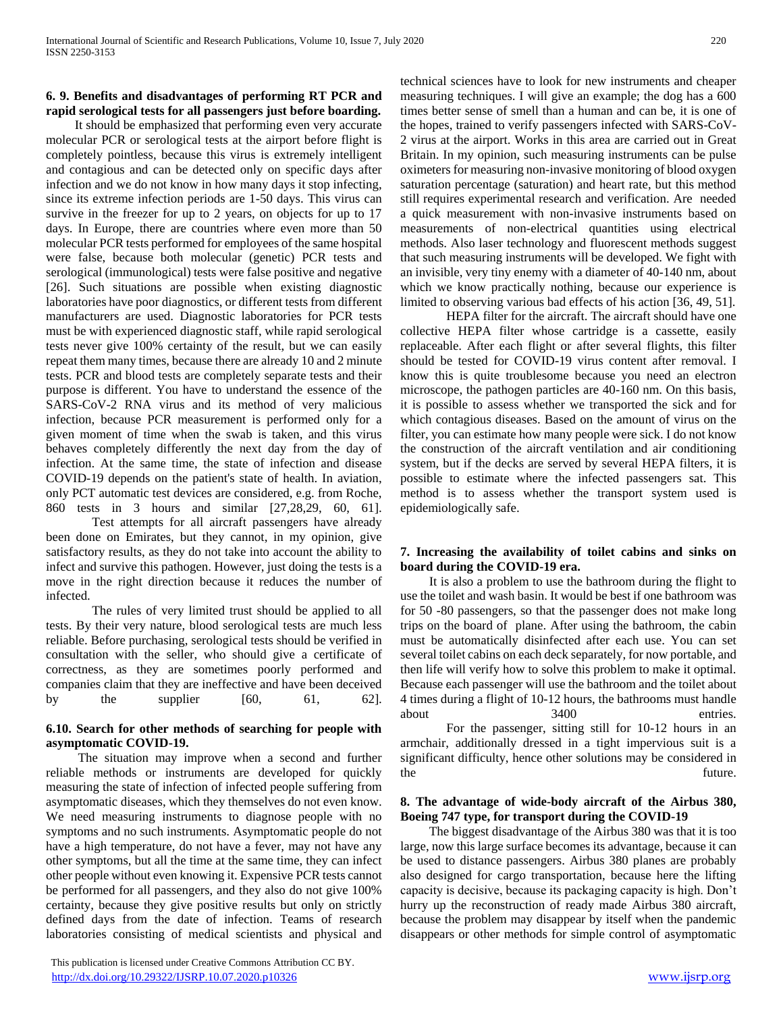#### **6. 9. Benefits and disadvantages of performing RT PCR and rapid serological tests for all passengers just before boarding.**

 It should be emphasized that performing even very accurate molecular PCR or serological tests at the airport before flight is completely pointless, because this virus is extremely intelligent and contagious and can be detected only on specific days after infection and we do not know in how many days it stop infecting, since its extreme infection periods are 1-50 days. This virus can survive in the freezer for up to 2 years, on objects for up to 17 days. In Europe, there are countries where even more than 50 molecular PCR tests performed for employees of the same hospital were false, because both molecular (genetic) PCR tests and serological (immunological) tests were false positive and negative [26]. Such situations are possible when existing diagnostic laboratories have poor diagnostics, or different tests from different manufacturers are used. Diagnostic laboratories for PCR tests must be with experienced diagnostic staff, while rapid serological tests never give 100% certainty of the result, but we can easily repeat them many times, because there are already 10 and 2 minute tests. PCR and blood tests are completely separate tests and their purpose is different. You have to understand the essence of the SARS-CoV-2 RNA virus and its method of very malicious infection, because PCR measurement is performed only for a given moment of time when the swab is taken, and this virus behaves completely differently the next day from the day of infection. At the same time, the state of infection and disease COVID-19 depends on the patient's state of health. In aviation, only PCT automatic test devices are considered, e.g. from Roche, 860 tests in 3 hours and similar [27,28,29, 60, 61].

Test attempts for all aircraft passengers have already been done on Emirates, but they cannot, in my opinion, give satisfactory results, as they do not take into account the ability to infect and survive this pathogen. However, just doing the tests is a move in the right direction because it reduces the number of infected.

The rules of very limited trust should be applied to all tests. By their very nature, blood serological tests are much less reliable. Before purchasing, serological tests should be verified in consultation with the seller, who should give a certificate of correctness, as they are sometimes poorly performed and companies claim that they are ineffective and have been deceived by the supplier  $[60, 61, 62]$ .

# **6.10. Search for other methods of searching for people with asymptomatic COVID-19.**

 The situation may improve when a second and further reliable methods or instruments are developed for quickly measuring the state of infection of infected people suffering from asymptomatic diseases, which they themselves do not even know. We need measuring instruments to diagnose people with no symptoms and no such instruments. Asymptomatic people do not have a high temperature, do not have a fever, may not have any other symptoms, but all the time at the same time, they can infect other people without even knowing it. Expensive PCR tests cannot be performed for all passengers, and they also do not give 100% certainty, because they give positive results but only on strictly defined days from the date of infection. Teams of research laboratories consisting of medical scientists and physical and

 This publication is licensed under Creative Commons Attribution CC BY. <http://dx.doi.org/10.29322/IJSRP.10.07.2020.p10326> [www.ijsrp.org](http://ijsrp.org/)

technical sciences have to look for new instruments and cheaper measuring techniques. I will give an example; the dog has a 600 times better sense of smell than a human and can be, it is one of the hopes, trained to verify passengers infected with SARS-CoV-2 virus at the airport. Works in this area are carried out in Great Britain. In my opinion, such measuring instruments can be pulse oximeters for measuring non-invasive monitoring of blood oxygen saturation percentage (saturation) and heart rate, but this method still requires experimental research and verification. Are needed a quick measurement with non-invasive instruments based on measurements of non-electrical quantities using electrical methods. Also laser technology and fluorescent methods suggest that such measuring instruments will be developed. We fight with an invisible, very tiny enemy with a diameter of 40-140 nm, about which we know practically nothing, because our experience is limited to observing various bad effects of his action [36, 49, 51].

HEPA filter for the aircraft. The aircraft should have one collective HEPA filter whose cartridge is a cassette, easily replaceable. After each flight or after several flights, this filter should be tested for COVID-19 virus content after removal. I know this is quite troublesome because you need an electron microscope, the pathogen particles are 40-160 nm. On this basis, it is possible to assess whether we transported the sick and for which contagious diseases. Based on the amount of virus on the filter, you can estimate how many people were sick. I do not know the construction of the aircraft ventilation and air conditioning system, but if the decks are served by several HEPA filters, it is possible to estimate where the infected passengers sat. This method is to assess whether the transport system used is epidemiologically safe.

#### **7. Increasing the availability of toilet cabins and sinks on board during the COVID-19 era.**

 It is also a problem to use the bathroom during the flight to use the toilet and wash basin. It would be best if one bathroom was for 50 -80 passengers, so that the passenger does not make long trips on the board of plane. After using the bathroom, the cabin must be automatically disinfected after each use. You can set several toilet cabins on each deck separately, for now portable, and then life will verify how to solve this problem to make it optimal. Because each passenger will use the bathroom and the toilet about 4 times during a flight of 10-12 hours, the bathrooms must handle about 3400 entries.

For the passenger, sitting still for 10-12 hours in an armchair, additionally dressed in a tight impervious suit is a significant difficulty, hence other solutions may be considered in the future.

#### **8. The advantage of wide-body aircraft of the Airbus 380, Boeing 747 type, for transport during the COVID-19**

 The biggest disadvantage of the Airbus 380 was that it is too large, now this large surface becomes its advantage, because it can be used to distance passengers. Airbus 380 planes are probably also designed for cargo transportation, because here the lifting capacity is decisive, because its packaging capacity is high. Don't hurry up the reconstruction of ready made Airbus 380 aircraft, because the problem may disappear by itself when the pandemic disappears or other methods for simple control of asymptomatic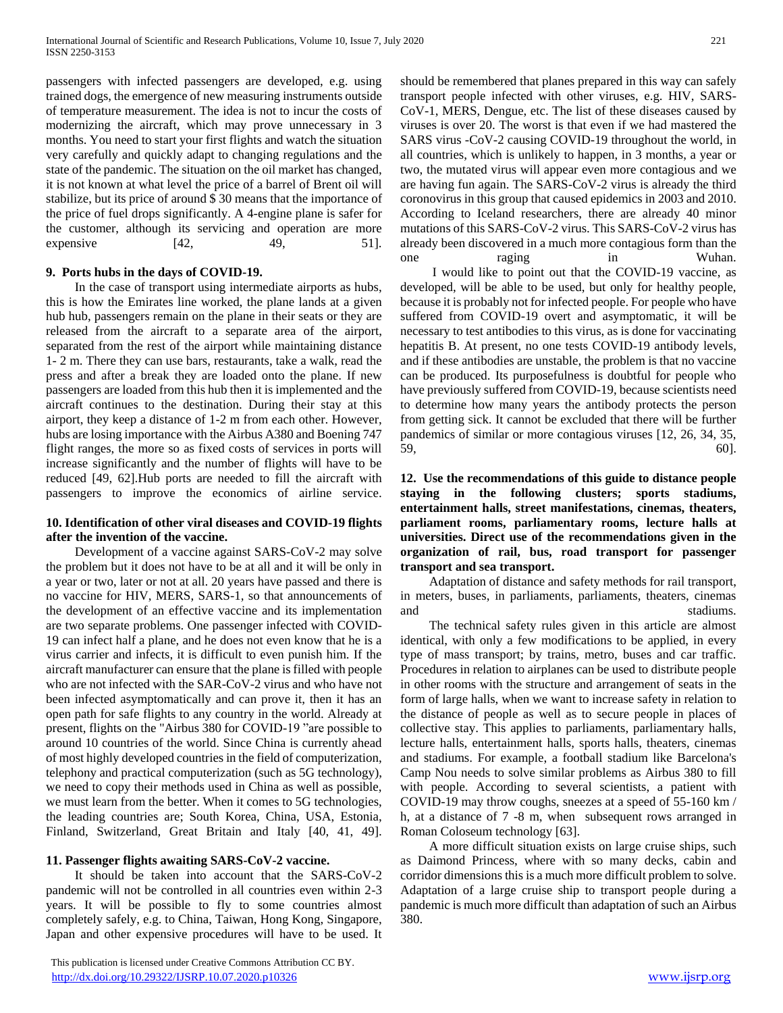passengers with infected passengers are developed, e.g. using trained dogs, the emergence of new measuring instruments outside of temperature measurement. The idea is not to incur the costs of modernizing the aircraft, which may prove unnecessary in 3 months. You need to start your first flights and watch the situation very carefully and quickly adapt to changing regulations and the state of the pandemic. The situation on the oil market has changed, it is not known at what level the price of a barrel of Brent oil will stabilize, but its price of around \$ 30 means that the importance of the price of fuel drops significantly. A 4-engine plane is safer for the customer, although its servicing and operation are more expensive  $[42, 49, 51]$ .

#### **9. Ports hubs in the days of COVID-19.**

 In the case of transport using intermediate airports as hubs, this is how the Emirates line worked, the plane lands at a given hub hub, passengers remain on the plane in their seats or they are released from the aircraft to a separate area of the airport, separated from the rest of the airport while maintaining distance 1- 2 m. There they can use bars, restaurants, take a walk, read the press and after a break they are loaded onto the plane. If new passengers are loaded from this hub then it is implemented and the aircraft continues to the destination. During their stay at this airport, they keep a distance of 1-2 m from each other. However, hubs are losing importance with the Airbus A380 and Boening 747 flight ranges, the more so as fixed costs of services in ports will increase significantly and the number of flights will have to be reduced [49, 62].Hub ports are needed to fill the aircraft with passengers to improve the economics of airline service.

#### **10. Identification of other viral diseases and COVID-19 flights after the invention of the vaccine.**

 Development of a vaccine against SARS-CoV-2 may solve the problem but it does not have to be at all and it will be only in a year or two, later or not at all. 20 years have passed and there is no vaccine for HIV, MERS, SARS-1, so that announcements of the development of an effective vaccine and its implementation are two separate problems. One passenger infected with COVID-19 can infect half a plane, and he does not even know that he is a virus carrier and infects, it is difficult to even punish him. If the aircraft manufacturer can ensure that the plane is filled with people who are not infected with the SAR-CoV-2 virus and who have not been infected asymptomatically and can prove it, then it has an open path for safe flights to any country in the world. Already at present, flights on the "Airbus 380 for COVID-19 "are possible to around 10 countries of the world. Since China is currently ahead of most highly developed countries in the field of computerization, telephony and practical computerization (such as 5G technology), we need to copy their methods used in China as well as possible, we must learn from the better. When it comes to 5G technologies, the leading countries are; South Korea, China, USA, Estonia, Finland, Switzerland, Great Britain and Italy [40, 41, 49].

#### **11. Passenger flights awaiting SARS-CoV-2 vaccine.**

 It should be taken into account that the SARS-CoV-2 pandemic will not be controlled in all countries even within 2-3 years. It will be possible to fly to some countries almost completely safely, e.g. to China, Taiwan, Hong Kong, Singapore, Japan and other expensive procedures will have to be used. It

 This publication is licensed under Creative Commons Attribution CC BY. <http://dx.doi.org/10.29322/IJSRP.10.07.2020.p10326> [www.ijsrp.org](http://ijsrp.org/)

should be remembered that planes prepared in this way can safely transport people infected with other viruses, e.g. HIV, SARS-CoV-1, MERS, Dengue, etc. The list of these diseases caused by viruses is over 20. The worst is that even if we had mastered the SARS virus -CoV-2 causing COVID-19 throughout the world, in all countries, which is unlikely to happen, in 3 months, a year or two, the mutated virus will appear even more contagious and we are having fun again. The SARS-CoV-2 virus is already the third coronovirus in this group that caused epidemics in 2003 and 2010. According to Iceland researchers, there are already 40 minor mutations of this SARS-CoV-2 virus. This SARS-CoV-2 virus has already been discovered in a much more contagious form than the one raging in Wuhan.

 I would like to point out that the COVID-19 vaccine, as developed, will be able to be used, but only for healthy people, because it is probably not for infected people. For people who have suffered from COVID-19 overt and asymptomatic, it will be necessary to test antibodies to this virus, as is done for vaccinating hepatitis B. At present, no one tests COVID-19 antibody levels, and if these antibodies are unstable, the problem is that no vaccine can be produced. Its purposefulness is doubtful for people who have previously suffered from COVID-19, because scientists need to determine how many years the antibody protects the person from getting sick. It cannot be excluded that there will be further pandemics of similar or more contagious viruses [12, 26, 34, 35,  $59,$  60].

**12. Use the recommendations of this guide to distance people staying in the following clusters; sports stadiums, entertainment halls, street manifestations, cinemas, theaters, parliament rooms, parliamentary rooms, lecture halls at universities. Direct use of the recommendations given in the organization of rail, bus, road transport for passenger transport and sea transport.**

 Adaptation of distance and safety methods for rail transport, in meters, buses, in parliaments, parliaments, theaters, cinemas and stadiums.

 The technical safety rules given in this article are almost identical, with only a few modifications to be applied, in every type of mass transport; by trains, metro, buses and car traffic. Procedures in relation to airplanes can be used to distribute people in other rooms with the structure and arrangement of seats in the form of large halls, when we want to increase safety in relation to the distance of people as well as to secure people in places of collective stay. This applies to parliaments, parliamentary halls, lecture halls, entertainment halls, sports halls, theaters, cinemas and stadiums. For example, a football stadium like Barcelona's Camp Nou needs to solve similar problems as Airbus 380 to fill with people. According to several scientists, a patient with COVID-19 may throw coughs, sneezes at a speed of 55-160 km / h, at a distance of 7 -8 m, when subsequent rows arranged in Roman Coloseum technology [63].

 A more difficult situation exists on large cruise ships, such as Daimond Princess, where with so many decks, cabin and corridor dimensions this is a much more difficult problem to solve. Adaptation of a large cruise ship to transport people during a pandemic is much more difficult than adaptation of such an Airbus 380.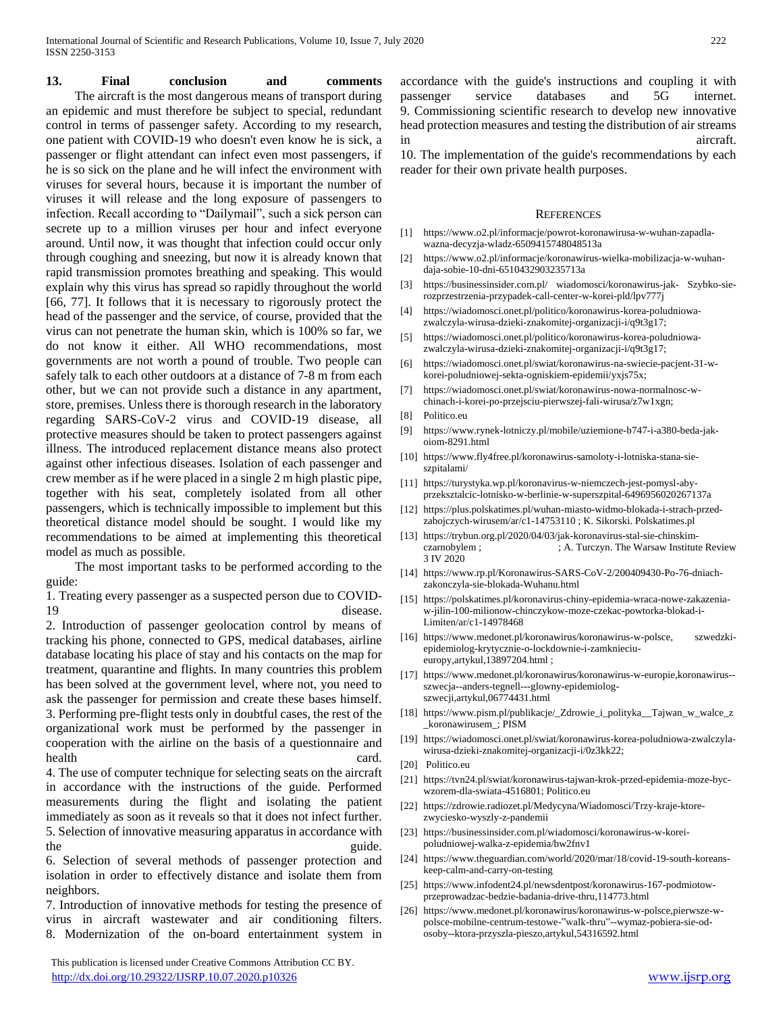**13. Final conclusion and comments** The aircraft is the most dangerous means of transport during an epidemic and must therefore be subject to special, redundant control in terms of passenger safety. According to my research, one patient with COVID-19 who doesn't even know he is sick, a passenger or flight attendant can infect even most passengers, if he is so sick on the plane and he will infect the environment with viruses for several hours, because it is important the number of viruses it will release and the long exposure of passengers to infection. Recall according to "Dailymail", such a sick person can secrete up to a million viruses per hour and infect everyone around. Until now, it was thought that infection could occur only through coughing and sneezing, but now it is already known that rapid transmission promotes breathing and speaking. This would explain why this virus has spread so rapidly throughout the world [66, 77]. It follows that it is necessary to rigorously protect the head of the passenger and the service, of course, provided that the virus can not penetrate the human skin, which is 100% so far, we do not know it either. All WHO recommendations, most governments are not worth a pound of trouble. Two people can safely talk to each other outdoors at a distance of 7-8 m from each other, but we can not provide such a distance in any apartment, store, premises. Unless there is thorough research in the laboratory regarding SARS-CoV-2 virus and COVID-19 disease, all protective measures should be taken to protect passengers against illness. The introduced replacement distance means also protect against other infectious diseases. Isolation of each passenger and crew member as if he were placed in a single 2 m high plastic pipe, together with his seat, completely isolated from all other passengers, which is technically impossible to implement but this theoretical distance model should be sought. I would like my recommendations to be aimed at implementing this theoretical model as much as possible.

 The most important tasks to be performed according to the guide:

1. Treating every passenger as a suspected person due to COVID-19 disease.

2. Introduction of passenger geolocation control by means of tracking his phone, connected to GPS, medical databases, airline database locating his place of stay and his contacts on the map for treatment, quarantine and flights. In many countries this problem has been solved at the government level, where not, you need to ask the passenger for permission and create these bases himself. 3. Performing pre-flight tests only in doubtful cases, the rest of the organizational work must be performed by the passenger in cooperation with the airline on the basis of a questionnaire and health card.

4. The use of computer technique for selecting seats on the aircraft in accordance with the instructions of the guide. Performed measurements during the flight and isolating the patient immediately as soon as it reveals so that it does not infect further. 5. Selection of innovative measuring apparatus in accordance with the guide.

6. Selection of several methods of passenger protection and isolation in order to effectively distance and isolate them from neighbors.

7. Introduction of innovative methods for testing the presence of virus in aircraft wastewater and air conditioning filters. 8. Modernization of the on-board entertainment system in

 This publication is licensed under Creative Commons Attribution CC BY. <http://dx.doi.org/10.29322/IJSRP.10.07.2020.p10326> [www.ijsrp.org](http://ijsrp.org/)

accordance with the guide's instructions and coupling it with passenger service databases and 5G internet. 9. Commissioning scientific research to develop new innovative head protection measures and testing the distribution of air streams in aircraft.

10. The implementation of the guide's recommendations by each reader for their own private health purposes.

#### **REFERENCES**

- [1] https://www.o2.pl/informacje/powrot-koronawirusa-w-wuhan-zapadlawazna-decyzja-wladz-6509415748048513a
- [2] https://www.o2.pl/informacje/koronawirus-wielka-mobilizacja-w-wuhandaja-sobie-10-dni-6510432903235713a
- [3] https://businessinsider.com.pl/ wiadomosci/koronawirus-jak- Szybko-sierozprzestrzenia-przypadek-call-center-w-korei-pld/lpv777j
- [4] https://wiadomosci.onet.pl/politico/koronawirus-korea-poludniowazwalczyla-wirusa-dzieki-znakomitej-organizacji-i/q9t3g17;
- [5] https://wiadomosci.onet.pl/politico/koronawirus-korea-poludniowazwalczyla-wirusa-dzieki-znakomitej-organizacji-i/q9t3g17;
- [6] https://wiadomosci.onet.pl/swiat/koronawirus-na-swiecie-pacjent-31-wkorei-poludniowej-sekta-ogniskiem-epidemii/yxjs75x;
- [7] https://wiadomosci.onet.pl/swiat/koronawirus-nowa-normalnosc-wchinach-i-korei-po-przejsciu-pierwszej-fali-wirusa/z7w1xgn;
- [8] Politico.eu
- [9] https://www.rynek-lotniczy.pl/mobile/uziemione-b747-i-a380-beda-jakoiom-8291.html
- [10] https://www.fly4free.pl/koronawirus-samoloty-i-lotniska-stana-sieszpitalami/
- [11] https://turystyka.wp.pl/koronavirus-w-niemczech-jest-pomysl-abyprzeksztalcic-lotnisko-w-berlinie-w-superszpital-6496956020267137a
- [12] https://plus.polskatimes.pl/wuhan-miasto-widmo-blokada-i-strach-przedzabojczych-wirusem/ar/c1-14753110 ; K. Sikorski. Polskatimes.pl
- [13] https://trybun.org.pl/2020/04/03/jak-koronavirus-stal-sie-chinskimczarnobylem ; ; A. Turczyn. The Warsaw Institute Review 3 IV 2020
- [14] https://www.rp.pl/Koronawirus-SARS-CoV-2/200409430-Po-76-dniachzakonczyla-sie-blokada-Wuhanu.html
- [15] https://polskatimes.pl/koronavirus-chiny-epidemia-wraca-nowe-zakazeniaw-jilin-100-milionow-chinczykow-moze-czekac-powtorka-blokad-i-Limiten/ar/c1-14978468
- [16] https://www.medonet.pl/koronawirus/koronawirus-w-polsce, szwedzkiepidemiolog-krytycznie-o-lockdownie-i-zamknieciueuropy,artykul,13897204.html ;
- [17] https://www.medonet.pl/koronawirus/koronawirus-w-europie,koronawirus- szwecja--anders-tegnell---glowny-epidemiologszwecji,artykul,06774431.html
- [18] https://www.pism.pl/publikacje/\_Zdrowie\_i\_polityka\_\_Tajwan\_w\_walce\_z \_koronawirusem\_; PISM
- [19] https://wiadomosci.onet.pl/swiat/koronawirus-korea-poludniowa-zwalczylawirusa-dzieki-znakomitej-organizacji-i/0z3kk22;
- [20] Politico.eu
- [21] https://tvn24.pl/swiat/koronawirus-tajwan-krok-przed-epidemia-moze-bycwzorem-dla-swiata-4516801; Politico.eu
- [22] https://zdrowie.radiozet.pl/Medycyna/Wiadomosci/Trzy-kraje-ktorezwyciesko-wyszly-z-pandemii
- [23] https://businessinsider.com.pl/wiadomosci/koronawirus-w-koreipoludniowej-walka-z-epidemia/bw2fnv1
- [24] https://www.theguardian.com/world/2020/mar/18/covid-19-south-koreanskeep-calm-and-carry-on-testing
- [25] https://www.infodent24.pl/newsdentpost/koronawirus-167-podmiotowprzeprowadzac-bedzie-badania-drive-thru,114773.html
- [26] https://www.medonet.pl/koronawirus/koronawirus-w-polsce,pierwsze-wpolsce-mobilne-centrum-testowe-"walk-thru"--wymaz-pobiera-sie-odosoby--ktora-przyszla-pieszo,artykul,54316592.html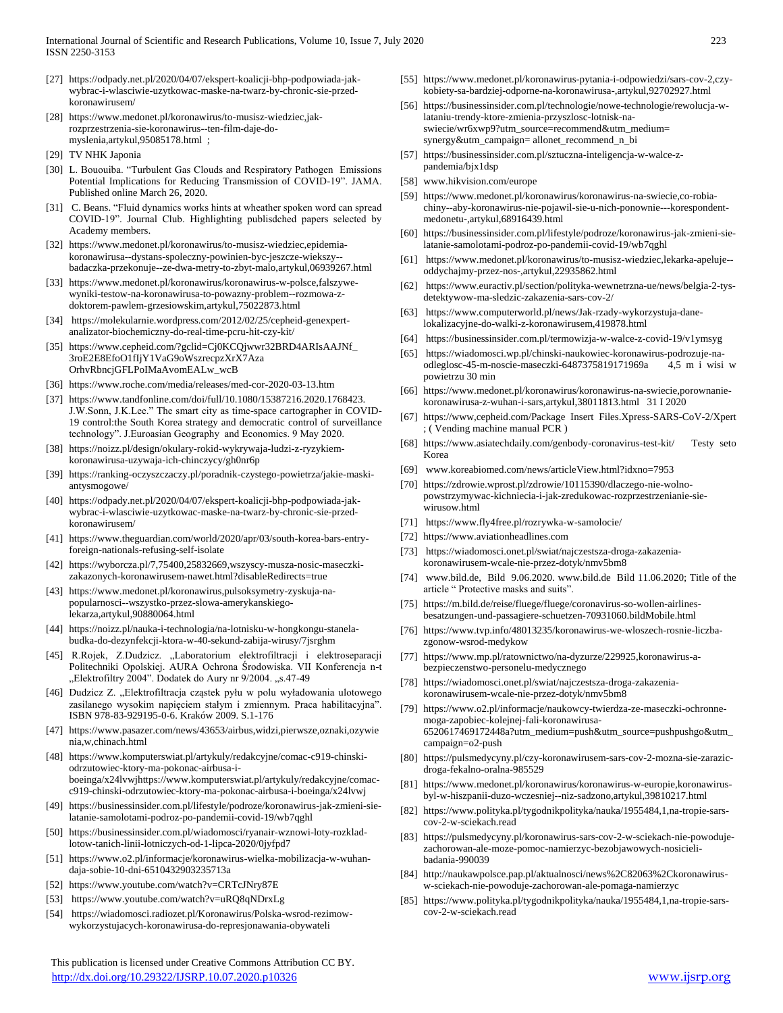- [27] https://odpady.net.pl/2020/04/07/ekspert-koalicji-bhp-podpowiada-jakwybrac-i-wlasciwie-uzytkowac-maske-na-twarz-by-chronic-sie-przedkoronawirusem/
- [28] https://www.medonet.pl/koronawirus/to-musisz-wiedziec,jakrozprzestrzenia-sie-koronawirus--ten-film-daje-domyslenia,artykul,95085178.html ;
- [29] TV NHK Japonia
- [30] L. Bououiba. "Turbulent Gas Clouds and Respiratory Pathogen Emissions Potential Implications for Reducing Transmission of COVID-19". JAMA. Published online March 26, 2020.
- [31] C. Beans. "Fluid dynamics works hints at wheather spoken word can spread COVID-19". Journal Club. Highlighting publisdched papers selected by Academy members.
- [32] https://www.medonet.pl/koronawirus/to-musisz-wiedziec,epidemiakoronawirusa--dystans-spoleczny-powinien-byc-jeszcze-wiekszy- badaczka-przekonuje--ze-dwa-metry-to-zbyt-malo,artykul,06939267.html
- [33] https://www.medonet.pl/koronawirus/koronawirus-w-polsce,falszywewyniki-testow-na-koronawirusa-to-powazny-problem--rozmowa-zdoktorem-pawlem-grzesiowskim,artykul,75022873.html
- [34] https://molekularnie.wordpress.com/2012/02/25/cepheid-genexpertanalizator-biochemiczny-do-real-time-pcru-hit-czy-kit/
- [35] https://www.cepheid.com/?gclid=Cj0KCQjwwr32BRD4ARIsAAJNf\_ 3roE2E8EfoO1fIjY1VaG9oWszrecpzXrX7Aza OrhvRbncjGFLPoIMaAvomEALw\_wcB
- [36] https://www.roche.com/media/releases/med-cor-2020-03-13.htm
- [37] https://www.tandfonline.com/doi/full/10.1080/15387216.2020.1768423. J.W.Sonn, J.K.Lee." The smart city as time-space cartographer in COVID-19 control:the South Korea strategy and democratic control of surveillance technology". J.Euroasian Geography and Economics. 9 May 2020.
- [38] https://noizz.pl/design/okulary-rokid-wykrywaja-ludzi-z-ryzykiemkoronawirusa-uzywaja-ich-chinczycy/gh0nr6p
- [39] https://ranking-oczyszczaczy.pl/poradnik-czystego-powietrza/jakie-maskiantysmogowe/
- [40] https://odpady.net.pl/2020/04/07/ekspert-koalicji-bhp-podpowiada-jakwybrac-i-wlasciwie-uzytkowac-maske-na-twarz-by-chronic-sie-przedkoronawirusem/
- [41] https://www.theguardian.com/world/2020/apr/03/south-korea-bars-entryforeign-nationals-refusing-self-isolate
- [42] https://wyborcza.pl/7,75400,25832669,wszyscy-musza-nosic-maseczkizakazonych-koronawirusem-nawet.html?disableRedirects=true
- [43] https://www.medonet.pl/koronawirus,pulsoksymetry-zyskuja-napopularnosci--wszystko-przez-slowa-amerykanskiegolekarza,artykul,90880064.html
- [44] https://noizz.pl/nauka-i-technologia/na-lotnisku-w-hongkongu-stanelabudka-do-dezynfekcji-ktora-w-40-sekund-zabija-wirusy/7jsrghm
- [45] R.Rojek, Z.Dudzicz. "Laboratorium elektrofiltracji i elektroseparacji Politechniki Opolskiej. AURA Ochrona Środowiska. VII Konferencja n-t "Elektrofiltry 2004". Dodatek do Aury nr 9/2004. "s.47-49
- [46] Dudzicz Z. "Elektrofiltracja cząstek pyłu w polu wyładowania ulotowego zasilanego wysokim napięciem stałym i zmiennym. Praca habilitacyjna". ISBN 978-83-929195-0-6. Kraków 2009. S.1-176
- [47] https://www.pasazer.com/news/43653/airbus,widzi,pierwsze,oznaki,ozywie nia,w,chinach.html
- [48] https://www.komputerswiat.pl/artykuly/redakcyjne/comac-c919-chinskiodrzutowiec-ktory-ma-pokonac-airbusa-iboeinga/x24lvwjhttps://www.komputerswiat.pl/artykuly/redakcyjne/comacc919-chinski-odrzutowiec-ktory-ma-pokonac-airbusa-i-boeinga/x24lvwj
- [49] https://businessinsider.com.pl/lifestyle/podroze/koronawirus-jak-zmieni-sielatanie-samolotami-podroz-po-pandemii-covid-19/wb7qghl
- [50] https://businessinsider.com.pl/wiadomosci/ryanair-wznowi-loty-rozkladlotow-tanich-linii-lotniczych-od-1-lipca-2020/0jyfpd7
- [51] https://www.o2.pl/informacje/koronawirus-wielka-mobilizacja-w-wuhandaja-sobie-10-dni-6510432903235713a
- [52] https://www.youtube.com/watch?v=CRTcJNry87E
- [53] https://www.youtube.com/watch?v=uRQ8qNDrxLg
- [54] https://wiadomosci.radiozet.pl/Koronawirus/Polska-wsrod-rezimowwykorzystujacych-koronawirusa-do-represjonawania-obywateli

 This publication is licensed under Creative Commons Attribution CC BY. <http://dx.doi.org/10.29322/IJSRP.10.07.2020.p10326> [www.ijsrp.org](http://ijsrp.org/)

- [55] https://www.medonet.pl/koronawirus-pytania-i-odpowiedzi/sars-cov-2,czykobiety-sa-bardziej-odporne-na-koronawirusa-,artykul,92702927.html
- [56] https://businessinsider.com.pl/technologie/nowe-technologie/rewolucja-wlataniu-trendy-ktore-zmienia-przyszlosc-lotnisk-naswiecie/wr6xwp9?utm\_source=recommend&utm\_medium= synergy&utm\_campaign= allonet\_recommend\_n\_bi
- [57] https://businessinsider.com.pl/sztuczna-inteligencja-w-walce-zpandemia/bjx1dsp
- [58] www.hikvision.com/europe
- [59] https://www.medonet.pl/koronawirus/koronawirus-na-swiecie,co-robiachiny--aby-koronawirus-nie-pojawil-sie-u-nich-ponownie---korespondentmedonetu-,artykul,68916439.html
- [60] https://businessinsider.com.pl/lifestyle/podroze/koronawirus-jak-zmieni-sielatanie-samolotami-podroz-po-pandemii-covid-19/wb7qghl
- [61] https://www.medonet.pl/koronawirus/to-musisz-wiedziec,lekarka-apeluje- oddychajmy-przez-nos-,artykul,22935862.html
- [62] https://www.euractiv.pl/section/polityka-wewnetrzna-ue/news/belgia-2-tysdetektywow-ma-sledzic-zakazenia-sars-cov-2/
- [63] https://www.computerworld.pl/news/Jak-rzady-wykorzystuja-danelokalizacyjne-do-walki-z-koronawirusem,419878.html
- [64] https://businessinsider.com.pl/termowizja-w-walce-z-covid-19/v1ymsyg
- [65] https://wiadomosci.wp.pl/chinski-naukowiec-koronawirus-podrozuje-naodleglosc-45-m-noscie-maseczki-6487375819171969a 4,5 m i wisi w powietrzu 30 min
- [66] https://www.medonet.pl/koronawirus/koronawirus-na-swiecie,porownaniekoronawirusa-z-wuhan-i-sars,artykul,38011813.html 31 I 2020
- [67] https://www,cepheid.com/Package Insert Files.Xpress-SARS-CoV-2/Xpert ; ( Vending machine manual PCR )
- [68] https://www.asiatechdaily.com/genbody-coronavirus-test-kit/ Testy seto Korea
- [69] www.koreabiomed.com/news/articleView.html?idxno=7953
- [70] https://zdrowie.wprost.pl/zdrowie/10115390/dlaczego-nie-wolnopowstrzymywac-kichniecia-i-jak-zredukowac-rozprzestrzenianie-siewirusow.html
- [71] https://www.fly4free.pl/rozrywka-w-samolocie/
- [72] https://www.aviationheadlines.com
- [73] https://wiadomosci.onet.pl/swiat/najczestsza-droga-zakazeniakoronawirusem-wcale-nie-przez-dotyk/nmv5bm8
- [74] www.bild.de, Bild 9.06.2020. www.bild.de Bild 11.06.2020; Title of the article " Protective masks and suits".
- [75] https://m.bild.de/reise/fluege/fluege/coronavirus-so-wollen-airlinesbesatzungen-und-passagiere-schuetzen-70931060.bildMobile.html
- [76] https://www.tvp.info/48013235/koronawirus-we-wloszech-rosnie-liczbazgonow-wsrod-medykow
- [77] https://www.mp.pl/ratownictwo/na-dyzurze/229925,koronawirus-abezpieczenstwo-personelu-medycznego
- [78] https://wiadomosci.onet.pl/swiat/najczestsza-droga-zakazeniakoronawirusem-wcale-nie-przez-dotyk/nmv5bm8
- [79] https://www.o2.pl/informacje/naukowcy-twierdza-ze-maseczki-ochronnemoga-zapobiec-kolejnej-fali-koronawirusa-6520617469172448a?utm\_medium=push&utm\_source=pushpushgo&utm\_ campaign=o2-push
- [80] https://pulsmedycyny.pl/czy-koronawirusem-sars-cov-2-mozna-sie-zarazicdroga-fekalno-oralna-985529
- [81] https://www.medonet.pl/koronawirus/koronawirus-w-europie,koronawirusbyl-w-hiszpanii-duzo-wczesniej--niz-sadzono,artykul,39810217.html
- [82] https://www.polityka.pl/tygodnikpolityka/nauka/1955484,1,na-tropie-sarscov-2-w-sciekach.read
- [83] https://pulsmedycyny.pl/koronawirus-sars-cov-2-w-sciekach-nie-powodujezachorowan-ale-moze-pomoc-namierzyc-bezobjawowych-nosicielibadania-990039
- [84] http://naukawpolsce.pap.pl/aktualnosci/news%2C82063%2Ckoronawirusw-sciekach-nie-powoduje-zachorowan-ale-pomaga-namierzyc
- [85] https://www.polityka.pl/tygodnikpolityka/nauka/1955484,1,na-tropie-sarscov-2-w-sciekach.read